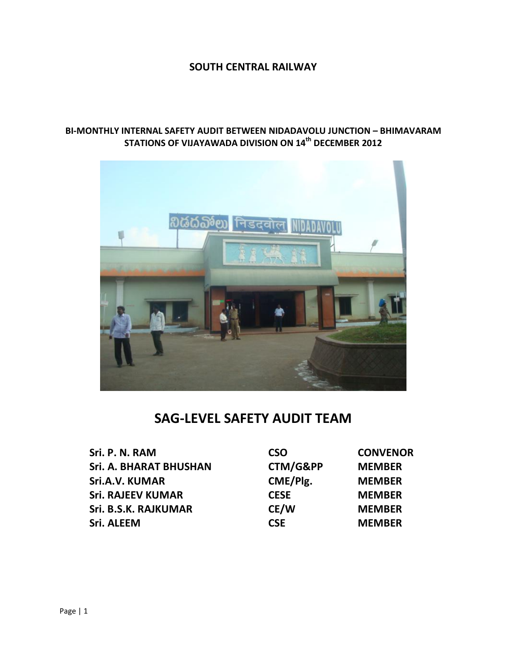### **SOUTH CENTRAL RAILWAY**

### **BI-MONTHLY INTERNAL SAFETY AUDIT BETWEEN NIDADAVOLU JUNCTION – BHIMAVARAM STATIONS OF VIJAYAWADA DIVISION ON 14th DECEMBER 2012**



# **SAG-LEVEL SAFETY AUDIT TEAM**

| Sri. P. N. RAM                | <b>CSO</b>  | <b>CONVENOR</b> |
|-------------------------------|-------------|-----------------|
| <b>Sri. A. BHARAT BHUSHAN</b> | CTM/G&PP    | <b>MEMBER</b>   |
| Sri.A.V. KUMAR                | CME/Plg.    | <b>MEMBER</b>   |
| <b>Sri. RAJEEV KUMAR</b>      | <b>CESE</b> | <b>MEMBER</b>   |
| Sri. B.S.K. RAJKUMAR          | CE/W        | <b>MEMBER</b>   |
| <b>Sri. ALEEM</b>             | <b>CSE</b>  | <b>MEMBER</b>   |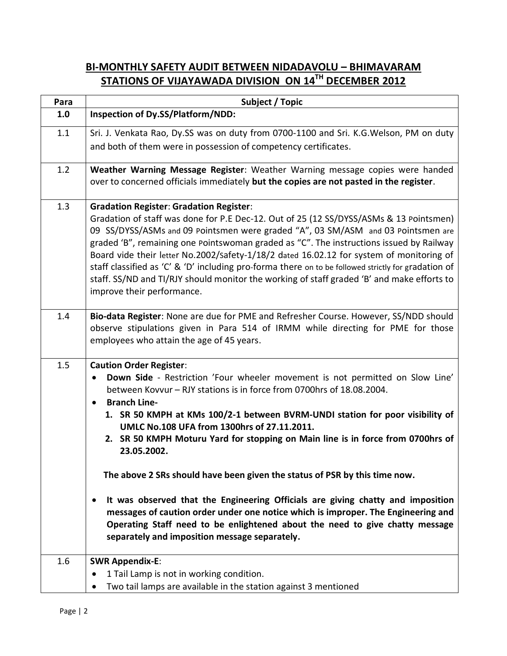## **BI-MONTHLY SAFETY AUDIT BETWEEN NIDADAVOLU – BHIMAVARAM STATIONS OF VIJAYAWADA DIVISION ON 14TH DECEMBER 2012**

| Para | Subject / Topic                                                                                                                                                                                                                                                                                                                                                                                                                                                                                                                                                                                                                                                                                                                                                                                                                                                         |
|------|-------------------------------------------------------------------------------------------------------------------------------------------------------------------------------------------------------------------------------------------------------------------------------------------------------------------------------------------------------------------------------------------------------------------------------------------------------------------------------------------------------------------------------------------------------------------------------------------------------------------------------------------------------------------------------------------------------------------------------------------------------------------------------------------------------------------------------------------------------------------------|
| 1.0  | Inspection of Dy.SS/Platform/NDD:                                                                                                                                                                                                                                                                                                                                                                                                                                                                                                                                                                                                                                                                                                                                                                                                                                       |
| 1.1  | Sri. J. Venkata Rao, Dy.SS was on duty from 0700-1100 and Sri. K.G. Welson, PM on duty<br>and both of them were in possession of competency certificates.                                                                                                                                                                                                                                                                                                                                                                                                                                                                                                                                                                                                                                                                                                               |
| 1.2  | Weather Warning Message Register: Weather Warning message copies were handed<br>over to concerned officials immediately but the copies are not pasted in the register.                                                                                                                                                                                                                                                                                                                                                                                                                                                                                                                                                                                                                                                                                                  |
| 1.3  | <b>Gradation Register: Gradation Register:</b><br>Gradation of staff was done for P.E Dec-12. Out of 25 (12 SS/DYSS/ASMs & 13 Pointsmen)<br>09 SS/DYSS/ASMs and 09 Pointsmen were graded "A", 03 SM/ASM and 03 Pointsmen are<br>graded 'B", remaining one Pointswoman graded as "C". The instructions issued by Railway<br>Board vide their letter No.2002/Safety-1/18/2 dated 16.02.12 for system of monitoring of<br>staff classified as 'C' & 'D' including pro-forma there on to be followed strictly for gradation of<br>staff. SS/ND and TI/RJY should monitor the working of staff graded 'B' and make efforts to<br>improve their performance.                                                                                                                                                                                                                  |
| 1.4  | Bio-data Register: None are due for PME and Refresher Course. However, SS/NDD should<br>observe stipulations given in Para 514 of IRMM while directing for PME for those<br>employees who attain the age of 45 years.                                                                                                                                                                                                                                                                                                                                                                                                                                                                                                                                                                                                                                                   |
| 1.5  | <b>Caution Order Register:</b><br>Down Side - Restriction 'Four wheeler movement is not permitted on Slow Line'<br>$\bullet$<br>between Kovvur - RJY stations is in force from 0700hrs of 18.08.2004.<br><b>Branch Line-</b><br>$\bullet$<br>1. SR 50 KMPH at KMs 100/2-1 between BVRM-UNDI station for poor visibility of<br>UMLC No.108 UFA from 1300hrs of 27.11.2011.<br>2. SR 50 KMPH Moturu Yard for stopping on Main line is in force from 0700hrs of<br>23.05.2002.<br>The above 2 SRs should have been given the status of PSR by this time now.<br>It was observed that the Engineering Officials are giving chatty and imposition<br>٠<br>messages of caution order under one notice which is improper. The Engineering and<br>Operating Staff need to be enlightened about the need to give chatty message<br>separately and imposition message separately. |
| 1.6  | <b>SWR Appendix-E:</b><br>1 Tail Lamp is not in working condition.<br>$\bullet$<br>Two tail lamps are available in the station against 3 mentioned                                                                                                                                                                                                                                                                                                                                                                                                                                                                                                                                                                                                                                                                                                                      |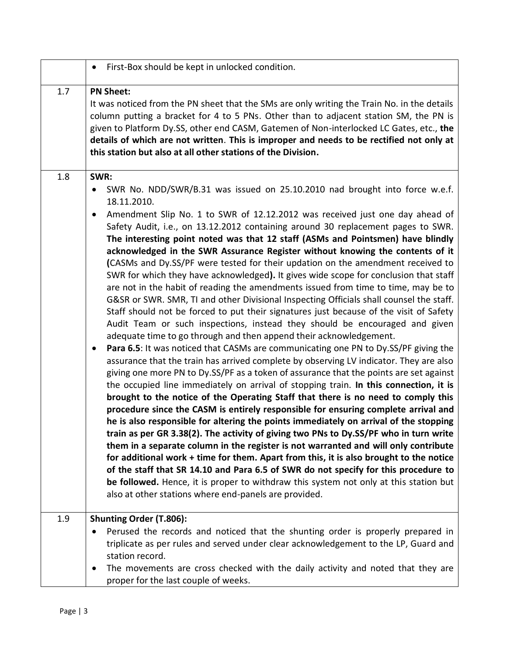|     | First-Box should be kept in unlocked condition.<br>$\bullet$                                                                                                                                                                                                                                                                                                                                                                                                                                                                                                                                                                                                                                                                                                                                                                                                                                                                                                                                                                                                                                                                                                                                                                                                                                                                                                                                                                                                                                                                                                                                                                                                                                                                                                                                                                                                                                                                                                                                                                                                                                                                                                                                                     |
|-----|------------------------------------------------------------------------------------------------------------------------------------------------------------------------------------------------------------------------------------------------------------------------------------------------------------------------------------------------------------------------------------------------------------------------------------------------------------------------------------------------------------------------------------------------------------------------------------------------------------------------------------------------------------------------------------------------------------------------------------------------------------------------------------------------------------------------------------------------------------------------------------------------------------------------------------------------------------------------------------------------------------------------------------------------------------------------------------------------------------------------------------------------------------------------------------------------------------------------------------------------------------------------------------------------------------------------------------------------------------------------------------------------------------------------------------------------------------------------------------------------------------------------------------------------------------------------------------------------------------------------------------------------------------------------------------------------------------------------------------------------------------------------------------------------------------------------------------------------------------------------------------------------------------------------------------------------------------------------------------------------------------------------------------------------------------------------------------------------------------------------------------------------------------------------------------------------------------------|
| 1.7 | <b>PN Sheet:</b><br>It was noticed from the PN sheet that the SMs are only writing the Train No. in the details<br>column putting a bracket for 4 to 5 PNs. Other than to adjacent station SM, the PN is<br>given to Platform Dy.SS, other end CASM, Gatemen of Non-interlocked LC Gates, etc., the<br>details of which are not written. This is improper and needs to be rectified not only at<br>this station but also at all other stations of the Division.                                                                                                                                                                                                                                                                                                                                                                                                                                                                                                                                                                                                                                                                                                                                                                                                                                                                                                                                                                                                                                                                                                                                                                                                                                                                                                                                                                                                                                                                                                                                                                                                                                                                                                                                                  |
| 1.8 | SWR:<br>SWR No. NDD/SWR/B.31 was issued on 25.10.2010 nad brought into force w.e.f.<br>18.11.2010.<br>Amendment Slip No. 1 to SWR of 12.12.2012 was received just one day ahead of<br>Safety Audit, i.e., on 13.12.2012 containing around 30 replacement pages to SWR.<br>The interesting point noted was that 12 staff (ASMs and Pointsmen) have blindly<br>acknowledged in the SWR Assurance Register without knowing the contents of it<br>(CASMs and Dy.SS/PF were tested for their updation on the amendment received to<br>SWR for which they have acknowledged). It gives wide scope for conclusion that staff<br>are not in the habit of reading the amendments issued from time to time, may be to<br>G&SR or SWR. SMR, TI and other Divisional Inspecting Officials shall counsel the staff.<br>Staff should not be forced to put their signatures just because of the visit of Safety<br>Audit Team or such inspections, instead they should be encouraged and given<br>adequate time to go through and then append their acknowledgement.<br>Para 6.5: It was noticed that CASMs are communicating one PN to Dy.SS/PF giving the<br>assurance that the train has arrived complete by observing LV indicator. They are also<br>giving one more PN to Dy.SS/PF as a token of assurance that the points are set against<br>the occupied line immediately on arrival of stopping train. In this connection, it is<br>brought to the notice of the Operating Staff that there is no need to comply this<br>procedure since the CASM is entirely responsible for ensuring complete arrival and<br>he is also responsible for altering the points immediately on arrival of the stopping<br>train as per GR 3.38(2). The activity of giving two PNs to Dy.SS/PF who in turn write<br>them in a separate column in the register is not warranted and will only contribute<br>for additional work + time for them. Apart from this, it is also brought to the notice<br>of the staff that SR 14.10 and Para 6.5 of SWR do not specify for this procedure to<br>be followed. Hence, it is proper to withdraw this system not only at this station but<br>also at other stations where end-panels are provided. |
| 1.9 | <b>Shunting Order (T.806):</b><br>Perused the records and noticed that the shunting order is properly prepared in<br>triplicate as per rules and served under clear acknowledgement to the LP, Guard and<br>station record.<br>The movements are cross checked with the daily activity and noted that they are<br>proper for the last couple of weeks.                                                                                                                                                                                                                                                                                                                                                                                                                                                                                                                                                                                                                                                                                                                                                                                                                                                                                                                                                                                                                                                                                                                                                                                                                                                                                                                                                                                                                                                                                                                                                                                                                                                                                                                                                                                                                                                           |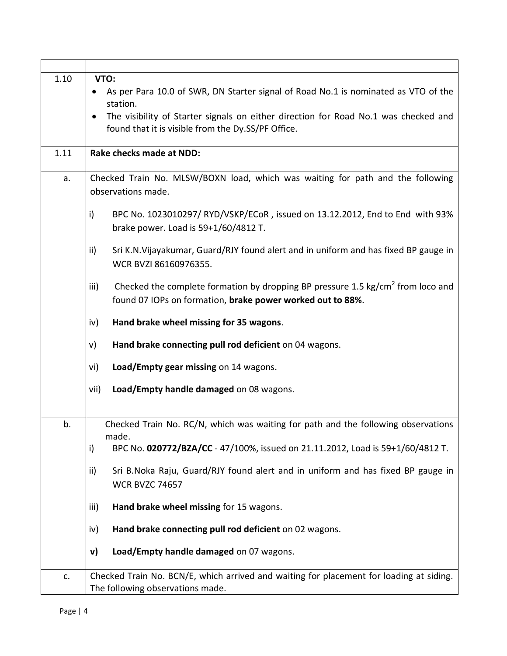| 1.10 | VTO:<br>As per Para 10.0 of SWR, DN Starter signal of Road No.1 is nominated as VTO of the<br>station.<br>The visibility of Starter signals on either direction for Road No.1 was checked and<br>$\bullet$<br>found that it is visible from the Dy.SS/PF Office. |  |  |  |  |  |  |
|------|------------------------------------------------------------------------------------------------------------------------------------------------------------------------------------------------------------------------------------------------------------------|--|--|--|--|--|--|
| 1.11 | Rake checks made at NDD:                                                                                                                                                                                                                                         |  |  |  |  |  |  |
| a.   | Checked Train No. MLSW/BOXN load, which was waiting for path and the following<br>observations made.                                                                                                                                                             |  |  |  |  |  |  |
|      | BPC No. 1023010297/ RYD/VSKP/ECoR, issued on 13.12.2012, End to End with 93%<br>i)<br>brake power. Load is 59+1/60/4812 T.                                                                                                                                       |  |  |  |  |  |  |
|      | Sri K.N.Vijayakumar, Guard/RJY found alert and in uniform and has fixed BP gauge in<br>ii)<br>WCR BVZI 86160976355.                                                                                                                                              |  |  |  |  |  |  |
|      | Checked the complete formation by dropping BP pressure 1.5 kg/cm <sup>2</sup> from loco and<br>iii)<br>found 07 IOPs on formation, brake power worked out to 88%.                                                                                                |  |  |  |  |  |  |
|      | Hand brake wheel missing for 35 wagons.<br>iv)                                                                                                                                                                                                                   |  |  |  |  |  |  |
|      | Hand brake connecting pull rod deficient on 04 wagons.<br>v)                                                                                                                                                                                                     |  |  |  |  |  |  |
|      | Load/Empty gear missing on 14 wagons.<br>vi)                                                                                                                                                                                                                     |  |  |  |  |  |  |
|      | vii)<br>Load/Empty handle damaged on 08 wagons.                                                                                                                                                                                                                  |  |  |  |  |  |  |
| b.   | Checked Train No. RC/N, which was waiting for path and the following observations<br>made.<br>BPC No. 020772/BZA/CC - 47/100%, issued on 21.11.2012, Load is 59+1/60/4812 T.<br>i)                                                                               |  |  |  |  |  |  |
|      | Sri B.Noka Raju, Guard/RJY found alert and in uniform and has fixed BP gauge in<br>ii)<br><b>WCR BVZC 74657</b>                                                                                                                                                  |  |  |  |  |  |  |
|      | Hand brake wheel missing for 15 wagons.<br>iii)                                                                                                                                                                                                                  |  |  |  |  |  |  |
|      | Hand brake connecting pull rod deficient on 02 wagons.<br>iv)                                                                                                                                                                                                    |  |  |  |  |  |  |
|      | Load/Empty handle damaged on 07 wagons.<br>v)                                                                                                                                                                                                                    |  |  |  |  |  |  |
| c.   | Checked Train No. BCN/E, which arrived and waiting for placement for loading at siding.<br>The following observations made.                                                                                                                                      |  |  |  |  |  |  |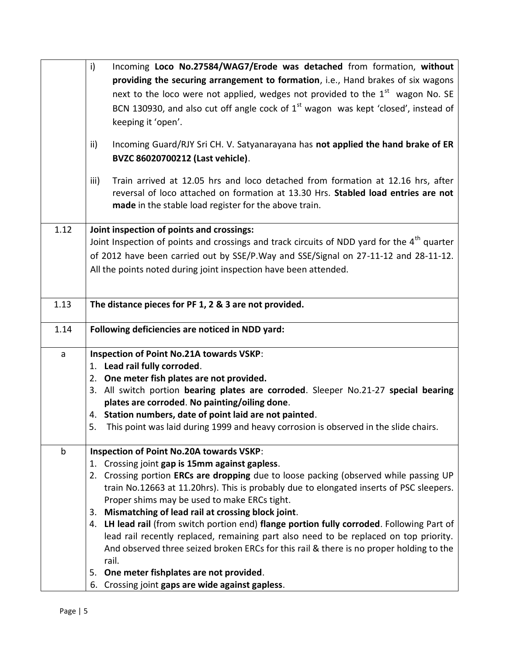|      | i)<br>Incoming Loco No.27584/WAG7/Erode was detached from formation, without                            |
|------|---------------------------------------------------------------------------------------------------------|
|      | providing the securing arrangement to formation, i.e., Hand brakes of six wagons                        |
|      | next to the loco were not applied, wedges not provided to the 1 <sup>st</sup> wagon No. SE              |
|      | BCN 130930, and also cut off angle cock of $1st$ wagon was kept 'closed', instead of                    |
|      | keeping it 'open'.                                                                                      |
|      |                                                                                                         |
|      | Incoming Guard/RJY Sri CH. V. Satyanarayana has not applied the hand brake of ER<br>ii)                 |
|      | BVZC 86020700212 (Last vehicle).                                                                        |
|      |                                                                                                         |
|      | Train arrived at 12.05 hrs and loco detached from formation at 12.16 hrs, after<br>iii)                 |
|      | reversal of loco attached on formation at 13.30 Hrs. Stabled load entries are not                       |
|      | made in the stable load register for the above train.                                                   |
|      |                                                                                                         |
| 1.12 | Joint inspection of points and crossings:                                                               |
|      | Joint Inspection of points and crossings and track circuits of NDD yard for the 4 <sup>th</sup> quarter |
|      | of 2012 have been carried out by SSE/P. Way and SSE/Signal on 27-11-12 and 28-11-12.                    |
|      | All the points noted during joint inspection have been attended.                                        |
|      |                                                                                                         |
|      |                                                                                                         |
| 1.13 | The distance pieces for PF 1, 2 & 3 are not provided.                                                   |
| 1.14 | Following deficiencies are noticed in NDD yard:                                                         |
|      |                                                                                                         |
| a    | <b>Inspection of Point No.21A towards VSKP:</b>                                                         |
|      | 1. Lead rail fully corroded.                                                                            |
|      | 2. One meter fish plates are not provided.                                                              |
|      | 3. All switch portion bearing plates are corroded. Sleeper No.21-27 special bearing                     |
|      | plates are corroded. No painting/oiling done.                                                           |
|      | 4. Station numbers, date of point laid are not painted.                                                 |
|      | This point was laid during 1999 and heavy corrosion is observed in the slide chairs.<br>5.              |
|      |                                                                                                         |
| b    | <b>Inspection of Point No.20A towards VSKP:</b>                                                         |
|      | 1. Crossing joint gap is 15mm against gapless.                                                          |
|      | 2. Crossing portion ERCs are dropping due to loose packing (observed while passing UP                   |
|      | train No.12663 at 11.20hrs). This is probably due to elongated inserts of PSC sleepers.                 |
|      | Proper shims may be used to make ERCs tight.                                                            |
|      | 3. Mismatching of lead rail at crossing block joint.                                                    |
|      | 4. LH lead rail (from switch portion end) flange portion fully corroded. Following Part of              |
|      | lead rail recently replaced, remaining part also need to be replaced on top priority.                   |
|      |                                                                                                         |
|      | And observed three seized broken ERCs for this rail & there is no proper holding to the                 |
|      | rail.                                                                                                   |
|      | 5. One meter fishplates are not provided.<br>6. Crossing joint gaps are wide against gapless.           |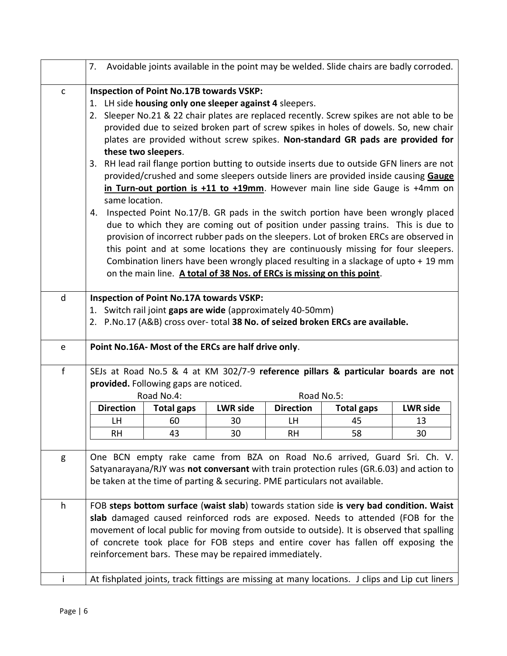|              |                                                                                             |                                                                        |                 |                  | 7. Avoidable joints available in the point may be welded. Slide chairs are badly corroded.     |                 |  |  |  |
|--------------|---------------------------------------------------------------------------------------------|------------------------------------------------------------------------|-----------------|------------------|------------------------------------------------------------------------------------------------|-----------------|--|--|--|
| C            |                                                                                             | <b>Inspection of Point No.17B towards VSKP:</b>                        |                 |                  |                                                                                                |                 |  |  |  |
|              | 1. LH side housing only one sleeper against 4 sleepers.                                     |                                                                        |                 |                  |                                                                                                |                 |  |  |  |
|              | 2. Sleeper No.21 & 22 chair plates are replaced recently. Screw spikes are not able to be   |                                                                        |                 |                  |                                                                                                |                 |  |  |  |
|              |                                                                                             |                                                                        |                 |                  | provided due to seized broken part of screw spikes in holes of dowels. So, new chair           |                 |  |  |  |
|              |                                                                                             |                                                                        |                 |                  | plates are provided without screw spikes. Non-standard GR pads are provided for                |                 |  |  |  |
|              |                                                                                             | these two sleepers.                                                    |                 |                  |                                                                                                |                 |  |  |  |
|              | 3. RH lead rail flange portion butting to outside inserts due to outside GFN liners are not |                                                                        |                 |                  |                                                                                                |                 |  |  |  |
|              | provided/crushed and some sleepers outside liners are provided inside causing Gauge         |                                                                        |                 |                  |                                                                                                |                 |  |  |  |
|              | in Turn-out portion is +11 to +19mm. However main line side Gauge is +4mm on                |                                                                        |                 |                  |                                                                                                |                 |  |  |  |
|              | same location.                                                                              |                                                                        |                 |                  |                                                                                                |                 |  |  |  |
|              | 4.                                                                                          |                                                                        |                 |                  | Inspected Point No.17/B. GR pads in the switch portion have been wrongly placed                |                 |  |  |  |
|              |                                                                                             |                                                                        |                 |                  | due to which they are coming out of position under passing trains. This is due to              |                 |  |  |  |
|              |                                                                                             |                                                                        |                 |                  | provision of incorrect rubber pads on the sleepers. Lot of broken ERCs are observed in         |                 |  |  |  |
|              |                                                                                             |                                                                        |                 |                  | this point and at some locations they are continuously missing for four sleepers.              |                 |  |  |  |
|              |                                                                                             |                                                                        |                 |                  | Combination liners have been wrongly placed resulting in a slackage of upto + 19 mm            |                 |  |  |  |
|              |                                                                                             | on the main line. A total of 38 Nos. of ERCs is missing on this point. |                 |                  |                                                                                                |                 |  |  |  |
|              |                                                                                             |                                                                        |                 |                  |                                                                                                |                 |  |  |  |
| d            |                                                                                             | <b>Inspection of Point No.17A towards VSKP:</b>                        |                 |                  |                                                                                                |                 |  |  |  |
|              |                                                                                             | 1. Switch rail joint gaps are wide (approximately 40-50mm)             |                 |                  |                                                                                                |                 |  |  |  |
|              |                                                                                             |                                                                        |                 |                  | 2. P.No.17 (A&B) cross over-total 38 No. of seized broken ERCs are available.                  |                 |  |  |  |
|              |                                                                                             |                                                                        |                 |                  |                                                                                                |                 |  |  |  |
| e            |                                                                                             | Point No.16A- Most of the ERCs are half drive only.                    |                 |                  |                                                                                                |                 |  |  |  |
| $\mathsf{f}$ |                                                                                             |                                                                        |                 |                  | SEJs at Road No.5 & 4 at KM 302/7-9 reference pillars & particular boards are not              |                 |  |  |  |
|              |                                                                                             | provided. Following gaps are noticed.                                  |                 |                  |                                                                                                |                 |  |  |  |
|              |                                                                                             | Road No.4:                                                             |                 | Road No.5:       |                                                                                                |                 |  |  |  |
|              | <b>Direction</b>                                                                            | <b>Total gaps</b>                                                      | <b>LWR side</b> | <b>Direction</b> | <b>Total gaps</b>                                                                              | <b>LWR side</b> |  |  |  |
|              | LH                                                                                          | 60                                                                     | 30              | LH               | 45                                                                                             | 13              |  |  |  |
|              | RH                                                                                          | 43                                                                     | 30              | <b>RH</b>        | 58                                                                                             | 30              |  |  |  |
|              |                                                                                             |                                                                        |                 |                  |                                                                                                |                 |  |  |  |
| g            |                                                                                             |                                                                        |                 |                  | One BCN empty rake came from BZA on Road No.6 arrived, Guard Sri. Ch. V.                       |                 |  |  |  |
|              |                                                                                             |                                                                        |                 |                  | Satyanarayana/RJY was not conversant with train protection rules (GR.6.03) and action to       |                 |  |  |  |
|              |                                                                                             |                                                                        |                 |                  | be taken at the time of parting & securing. PME particulars not available.                     |                 |  |  |  |
|              |                                                                                             |                                                                        |                 |                  |                                                                                                |                 |  |  |  |
| h            |                                                                                             |                                                                        |                 |                  | FOB steps bottom surface (waist slab) towards station side is very bad condition. Waist        |                 |  |  |  |
|              |                                                                                             |                                                                        |                 |                  | slab damaged caused reinforced rods are exposed. Needs to attended (FOB for the                |                 |  |  |  |
|              |                                                                                             |                                                                        |                 |                  | movement of local public for moving from outside to outside). It is observed that spalling     |                 |  |  |  |
|              |                                                                                             |                                                                        |                 |                  | of concrete took place for FOB steps and entire cover has fallen off exposing the              |                 |  |  |  |
|              |                                                                                             | reinforcement bars. These may be repaired immediately.                 |                 |                  |                                                                                                |                 |  |  |  |
|              |                                                                                             |                                                                        |                 |                  |                                                                                                |                 |  |  |  |
| i.           |                                                                                             |                                                                        |                 |                  | At fishplated joints, track fittings are missing at many locations. J clips and Lip cut liners |                 |  |  |  |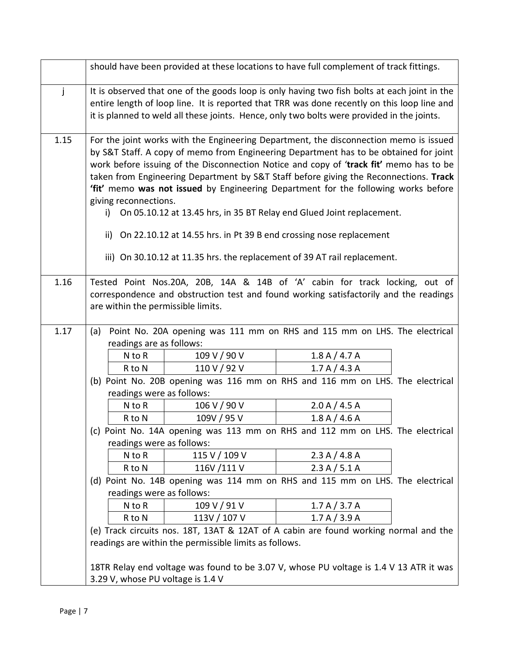|      | should have been provided at these locations to have full complement of track fittings.                                                                                                                                                                                                                                                                                                                                                                                                                                                                         |                                                        |                                                                                                                                                 |  |  |  |  |  |  |
|------|-----------------------------------------------------------------------------------------------------------------------------------------------------------------------------------------------------------------------------------------------------------------------------------------------------------------------------------------------------------------------------------------------------------------------------------------------------------------------------------------------------------------------------------------------------------------|--------------------------------------------------------|-------------------------------------------------------------------------------------------------------------------------------------------------|--|--|--|--|--|--|
| j    | It is observed that one of the goods loop is only having two fish bolts at each joint in the<br>entire length of loop line. It is reported that TRR was done recently on this loop line and<br>it is planned to weld all these joints. Hence, only two bolts were provided in the joints.                                                                                                                                                                                                                                                                       |                                                        |                                                                                                                                                 |  |  |  |  |  |  |
| 1.15 | For the joint works with the Engineering Department, the disconnection memo is issued<br>by S&T Staff. A copy of memo from Engineering Department has to be obtained for joint<br>work before issuing of the Disconnection Notice and copy of 'track fit' memo has to be<br>taken from Engineering Department by S&T Staff before giving the Reconnections. Track<br>'fit' memo was not issued by Engineering Department for the following works before<br>giving reconnections.<br>On 05.10.12 at 13.45 hrs, in 35 BT Relay end Glued Joint replacement.<br>i) |                                                        |                                                                                                                                                 |  |  |  |  |  |  |
|      | ii)                                                                                                                                                                                                                                                                                                                                                                                                                                                                                                                                                             |                                                        | On 22.10.12 at 14.55 hrs. in Pt 39 B end crossing nose replacement<br>iii) On 30.10.12 at 11.35 hrs. the replacement of 39 AT rail replacement. |  |  |  |  |  |  |
| 1.16 | Tested Point Nos.20A, 20B, 14A & 14B of 'A' cabin for track locking, out of<br>correspondence and obstruction test and found working satisfactorily and the readings<br>are within the permissible limits.                                                                                                                                                                                                                                                                                                                                                      |                                                        |                                                                                                                                                 |  |  |  |  |  |  |
| 1.17 | Point No. 20A opening was 111 mm on RHS and 115 mm on LHS. The electrical<br>(a)<br>readings are as follows:<br>109 V / 90 V<br>N to R<br>1.8 A / 4.7 A<br>110 V / 92 V<br>R to N<br>1.7 A / 4.3 A<br>(b) Point No. 20B opening was 116 mm on RHS and 116 mm on LHS. The electrical                                                                                                                                                                                                                                                                             |                                                        |                                                                                                                                                 |  |  |  |  |  |  |
|      | readings were as follows:                                                                                                                                                                                                                                                                                                                                                                                                                                                                                                                                       |                                                        |                                                                                                                                                 |  |  |  |  |  |  |
|      | N to R                                                                                                                                                                                                                                                                                                                                                                                                                                                                                                                                                          | 106 V / 90 V<br>109V / 95 V                            | 2.0 A / 4.5 A                                                                                                                                   |  |  |  |  |  |  |
|      | R to N<br>readings were as follows:                                                                                                                                                                                                                                                                                                                                                                                                                                                                                                                             |                                                        | 1.8 A / 4.6 A<br>(c) Point No. 14A opening was 113 mm on RHS and 112 mm on LHS. The electrical                                                  |  |  |  |  |  |  |
|      | N to R                                                                                                                                                                                                                                                                                                                                                                                                                                                                                                                                                          | 115 V / 109 V                                          | 2.3 A / 4.8 A                                                                                                                                   |  |  |  |  |  |  |
|      | R to N                                                                                                                                                                                                                                                                                                                                                                                                                                                                                                                                                          | 116V /111 V                                            | 2.3 A / 5.1 A                                                                                                                                   |  |  |  |  |  |  |
|      | readings were as follows:                                                                                                                                                                                                                                                                                                                                                                                                                                                                                                                                       |                                                        | (d) Point No. 14B opening was 114 mm on RHS and 115 mm on LHS. The electrical                                                                   |  |  |  |  |  |  |
|      | N to R                                                                                                                                                                                                                                                                                                                                                                                                                                                                                                                                                          | 109 V / 91 V                                           | 1.7 A / 3.7 A                                                                                                                                   |  |  |  |  |  |  |
|      | R to N                                                                                                                                                                                                                                                                                                                                                                                                                                                                                                                                                          | 113V / 107 V                                           | 1.7 A / 3.9 A                                                                                                                                   |  |  |  |  |  |  |
|      |                                                                                                                                                                                                                                                                                                                                                                                                                                                                                                                                                                 |                                                        | (e) Track circuits nos. 18T, 13AT & 12AT of A cabin are found working normal and the                                                            |  |  |  |  |  |  |
|      |                                                                                                                                                                                                                                                                                                                                                                                                                                                                                                                                                                 | readings are within the permissible limits as follows. |                                                                                                                                                 |  |  |  |  |  |  |
|      | 3.29 V, whose PU voltage is 1.4 V                                                                                                                                                                                                                                                                                                                                                                                                                                                                                                                               |                                                        | 18TR Relay end voltage was found to be 3.07 V, whose PU voltage is 1.4 V 13 ATR it was                                                          |  |  |  |  |  |  |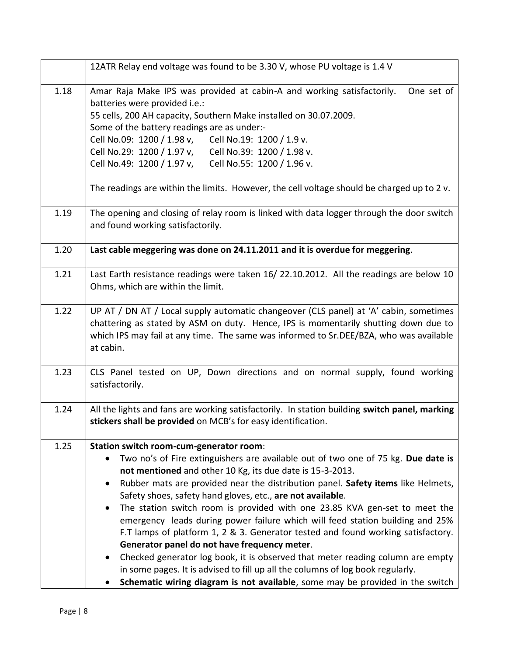|      | 12ATR Relay end voltage was found to be 3.30 V, whose PU voltage is 1.4 V                                                                                                                                                                                                                                                                                                                                                                                                                                                                                                                                                                                                                                                                                                                                                                                                                           |
|------|-----------------------------------------------------------------------------------------------------------------------------------------------------------------------------------------------------------------------------------------------------------------------------------------------------------------------------------------------------------------------------------------------------------------------------------------------------------------------------------------------------------------------------------------------------------------------------------------------------------------------------------------------------------------------------------------------------------------------------------------------------------------------------------------------------------------------------------------------------------------------------------------------------|
| 1.18 | Amar Raja Make IPS was provided at cabin-A and working satisfactorily.<br>One set of<br>batteries were provided i.e.:<br>55 cells, 200 AH capacity, Southern Make installed on 30.07.2009.<br>Some of the battery readings are as under:-<br>Cell No.09: 1200 / 1.98 v,<br>Cell No.19: 1200 / 1.9 v.<br>Cell No.29: 1200 / 1.97 v,<br>Cell No.39: 1200 / 1.98 v.<br>Cell No.49: 1200 / 1.97 v,<br>Cell No.55: 1200 / 1.96 v.<br>The readings are within the limits. However, the cell voltage should be charged up to 2 v.                                                                                                                                                                                                                                                                                                                                                                          |
| 1.19 | The opening and closing of relay room is linked with data logger through the door switch<br>and found working satisfactorily.                                                                                                                                                                                                                                                                                                                                                                                                                                                                                                                                                                                                                                                                                                                                                                       |
| 1.20 | Last cable meggering was done on 24.11.2011 and it is overdue for meggering.                                                                                                                                                                                                                                                                                                                                                                                                                                                                                                                                                                                                                                                                                                                                                                                                                        |
| 1.21 | Last Earth resistance readings were taken 16/22.10.2012. All the readings are below 10<br>Ohms, which are within the limit.                                                                                                                                                                                                                                                                                                                                                                                                                                                                                                                                                                                                                                                                                                                                                                         |
| 1.22 | UP AT / DN AT / Local supply automatic changeover (CLS panel) at 'A' cabin, sometimes<br>chattering as stated by ASM on duty. Hence, IPS is momentarily shutting down due to<br>which IPS may fail at any time. The same was informed to Sr.DEE/BZA, who was available<br>at cabin.                                                                                                                                                                                                                                                                                                                                                                                                                                                                                                                                                                                                                 |
| 1.23 | CLS Panel tested on UP, Down directions and on normal supply, found working<br>satisfactorily.                                                                                                                                                                                                                                                                                                                                                                                                                                                                                                                                                                                                                                                                                                                                                                                                      |
| 1.24 | All the lights and fans are working satisfactorily. In station building switch panel, marking<br>stickers shall be provided on MCB's for easy identification.                                                                                                                                                                                                                                                                                                                                                                                                                                                                                                                                                                                                                                                                                                                                       |
| 1.25 | Station switch room-cum-generator room:<br>Two no's of Fire extinguishers are available out of two one of 75 kg. Due date is<br>not mentioned and other 10 Kg, its due date is 15-3-2013.<br>Rubber mats are provided near the distribution panel. Safety items like Helmets,<br>Safety shoes, safety hand gloves, etc., are not available.<br>The station switch room is provided with one 23.85 KVA gen-set to meet the<br>emergency leads during power failure which will feed station building and 25%<br>F.T lamps of platform 1, 2 & 3. Generator tested and found working satisfactory.<br>Generator panel do not have frequency meter.<br>Checked generator log book, it is observed that meter reading column are empty<br>in some pages. It is advised to fill up all the columns of log book regularly.<br>Schematic wiring diagram is not available, some may be provided in the switch |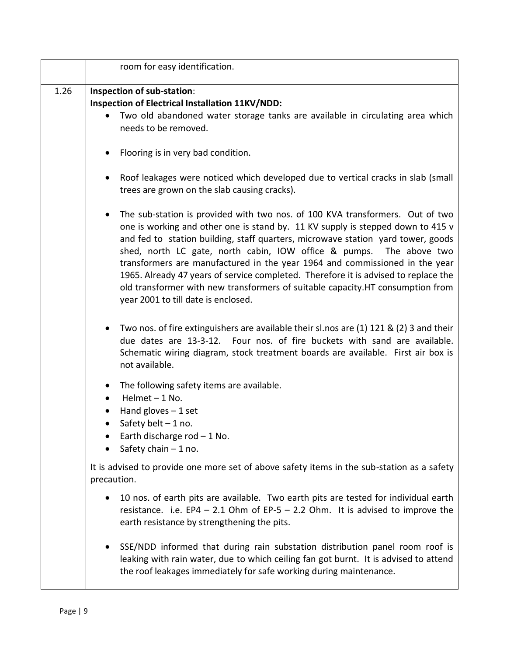|      | room for easy identification.                                                                                                                                                                                                                                                                                                                                                                                                                                                                                                                                                                                                           |  |  |  |  |  |  |  |
|------|-----------------------------------------------------------------------------------------------------------------------------------------------------------------------------------------------------------------------------------------------------------------------------------------------------------------------------------------------------------------------------------------------------------------------------------------------------------------------------------------------------------------------------------------------------------------------------------------------------------------------------------------|--|--|--|--|--|--|--|
| 1.26 | Inspection of sub-station:                                                                                                                                                                                                                                                                                                                                                                                                                                                                                                                                                                                                              |  |  |  |  |  |  |  |
|      | Inspection of Electrical Installation 11KV/NDD:                                                                                                                                                                                                                                                                                                                                                                                                                                                                                                                                                                                         |  |  |  |  |  |  |  |
|      | Two old abandoned water storage tanks are available in circulating area which<br>needs to be removed.                                                                                                                                                                                                                                                                                                                                                                                                                                                                                                                                   |  |  |  |  |  |  |  |
|      | Flooring is in very bad condition.                                                                                                                                                                                                                                                                                                                                                                                                                                                                                                                                                                                                      |  |  |  |  |  |  |  |
|      | Roof leakages were noticed which developed due to vertical cracks in slab (small<br>trees are grown on the slab causing cracks).                                                                                                                                                                                                                                                                                                                                                                                                                                                                                                        |  |  |  |  |  |  |  |
|      | The sub-station is provided with two nos. of 100 KVA transformers. Out of two<br>$\bullet$<br>one is working and other one is stand by. 11 KV supply is stepped down to 415 v<br>and fed to station building, staff quarters, microwave station yard tower, goods<br>shed, north LC gate, north cabin, IOW office & pumps. The above two<br>transformers are manufactured in the year 1964 and commissioned in the year<br>1965. Already 47 years of service completed. Therefore it is advised to replace the<br>old transformer with new transformers of suitable capacity.HT consumption from<br>year 2001 to till date is enclosed. |  |  |  |  |  |  |  |
|      | Two nos. of fire extinguishers are available their sl.nos are (1) 121 & (2) 3 and their<br>due dates are 13-3-12. Four nos. of fire buckets with sand are available.<br>Schematic wiring diagram, stock treatment boards are available. First air box is<br>not available.                                                                                                                                                                                                                                                                                                                                                              |  |  |  |  |  |  |  |
|      | The following safety items are available.<br>$\bullet$<br>Helmet $-1$ No.<br>Hand gloves $-1$ set<br>Safety belt $-1$ no.<br>Earth discharge $rod - 1$ No.<br>Safety chain $-1$ no.                                                                                                                                                                                                                                                                                                                                                                                                                                                     |  |  |  |  |  |  |  |
|      | It is advised to provide one more set of above safety items in the sub-station as a safety<br>precaution.                                                                                                                                                                                                                                                                                                                                                                                                                                                                                                                               |  |  |  |  |  |  |  |
|      | 10 nos. of earth pits are available. Two earth pits are tested for individual earth<br>٠<br>resistance. i.e. $EP4 - 2.1$ Ohm of $EP-5 - 2.2$ Ohm. It is advised to improve the<br>earth resistance by strengthening the pits.                                                                                                                                                                                                                                                                                                                                                                                                           |  |  |  |  |  |  |  |
|      | SSE/NDD informed that during rain substation distribution panel room roof is<br>$\bullet$<br>leaking with rain water, due to which ceiling fan got burnt. It is advised to attend<br>the roof leakages immediately for safe working during maintenance.                                                                                                                                                                                                                                                                                                                                                                                 |  |  |  |  |  |  |  |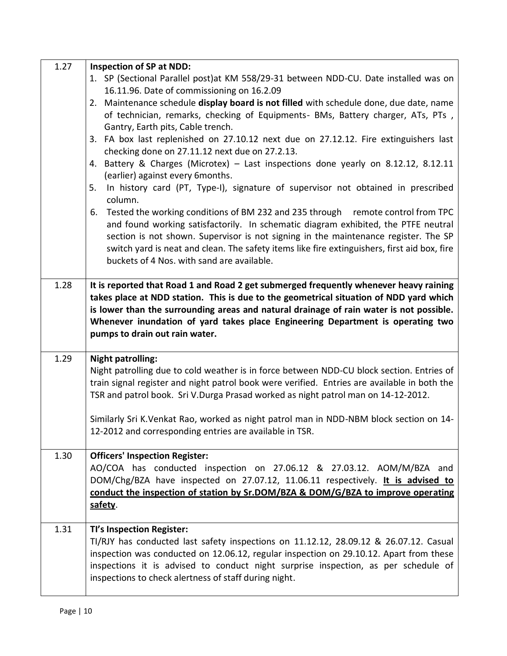| 1.27 | <b>Inspection of SP at NDD:</b>                                                                                                                                                                                                                                                                                                                                                                                             |
|------|-----------------------------------------------------------------------------------------------------------------------------------------------------------------------------------------------------------------------------------------------------------------------------------------------------------------------------------------------------------------------------------------------------------------------------|
|      | 1. SP (Sectional Parallel post) at KM 558/29-31 between NDD-CU. Date installed was on<br>16.11.96. Date of commissioning on 16.2.09                                                                                                                                                                                                                                                                                         |
|      | 2. Maintenance schedule display board is not filled with schedule done, due date, name<br>of technician, remarks, checking of Equipments- BMs, Battery charger, ATs, PTs,                                                                                                                                                                                                                                                   |
|      | Gantry, Earth pits, Cable trench.<br>3. FA box last replenished on 27.10.12 next due on 27.12.12. Fire extinguishers last<br>checking done on 27.11.12 next due on 27.2.13.<br>4. Battery & Charges (Microtex) - Last inspections done yearly on 8.12.12, 8.12.11                                                                                                                                                           |
|      | (earlier) against every 6months.<br>In history card (PT, Type-I), signature of supervisor not obtained in prescribed<br>5.                                                                                                                                                                                                                                                                                                  |
|      | column.<br>Tested the working conditions of BM 232 and 235 through remote control from TPC<br>6.<br>and found working satisfactorily. In schematic diagram exhibited, the PTFE neutral<br>section is not shown. Supervisor is not signing in the maintenance register. The SP<br>switch yard is neat and clean. The safety items like fire extinguishers, first aid box, fire<br>buckets of 4 Nos. with sand are available. |
| 1.28 | It is reported that Road 1 and Road 2 get submerged frequently whenever heavy raining<br>takes place at NDD station. This is due to the geometrical situation of NDD yard which<br>is lower than the surrounding areas and natural drainage of rain water is not possible.<br>Whenever inundation of yard takes place Engineering Department is operating two<br>pumps to drain out rain water.                             |
| 1.29 | <b>Night patrolling:</b><br>Night patrolling due to cold weather is in force between NDD-CU block section. Entries of<br>train signal register and night patrol book were verified. Entries are available in both the<br>TSR and patrol book. Sri V.Durga Prasad worked as night patrol man on 14-12-2012.                                                                                                                  |
|      | Similarly Sri K.Venkat Rao, worked as night patrol man in NDD-NBM block section on 14-<br>12-2012 and corresponding entries are available in TSR.                                                                                                                                                                                                                                                                           |
| 1.30 | <b>Officers' Inspection Register:</b><br>AO/COA has conducted inspection on 27.06.12 & 27.03.12. AOM/M/BZA and<br>DOM/Chg/BZA have inspected on 27.07.12, 11.06.11 respectively. It is advised to<br>conduct the inspection of station by Sr.DOM/BZA & DOM/G/BZA to improve operating<br>safety.                                                                                                                            |
| 1.31 | Tl's Inspection Register:<br>TI/RJY has conducted last safety inspections on 11.12.12, 28.09.12 & 26.07.12. Casual<br>inspection was conducted on 12.06.12, regular inspection on 29.10.12. Apart from these<br>inspections it is advised to conduct night surprise inspection, as per schedule of<br>inspections to check alertness of staff during night.                                                                 |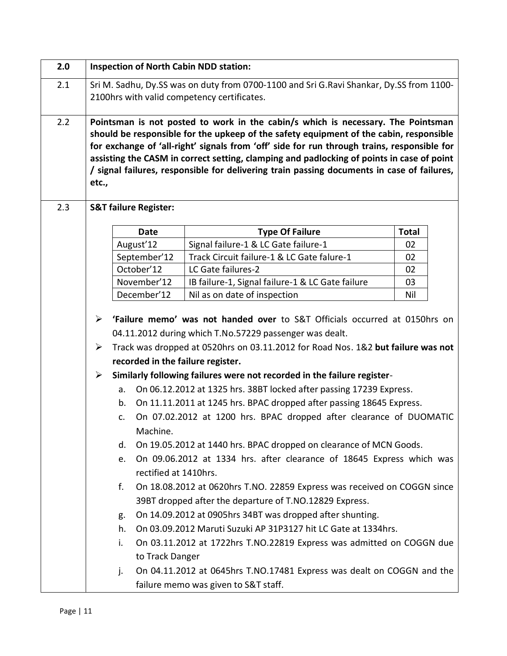| 2.0 |                                                                                                                                        | <b>Inspection of North Cabin NDD station:</b>                           |                                                                                                                                                                                                                                                                                                                                                                                                                                                                      |              |  |  |  |  |  |
|-----|----------------------------------------------------------------------------------------------------------------------------------------|-------------------------------------------------------------------------|----------------------------------------------------------------------------------------------------------------------------------------------------------------------------------------------------------------------------------------------------------------------------------------------------------------------------------------------------------------------------------------------------------------------------------------------------------------------|--------------|--|--|--|--|--|
| 2.1 | Sri M. Sadhu, Dy.SS was on duty from 0700-1100 and Sri G.Ravi Shankar, Dy.SS from 1100-<br>2100hrs with valid competency certificates. |                                                                         |                                                                                                                                                                                                                                                                                                                                                                                                                                                                      |              |  |  |  |  |  |
| 2.2 | etc.,                                                                                                                                  |                                                                         | Pointsman is not posted to work in the cabin/s which is necessary. The Pointsman<br>should be responsible for the upkeep of the safety equipment of the cabin, responsible<br>for exchange of 'all-right' signals from 'off' side for run through trains, responsible for<br>assisting the CASM in correct setting, clamping and padlocking of points in case of point<br>/ signal failures, responsible for delivering train passing documents in case of failures, |              |  |  |  |  |  |
| 2.3 |                                                                                                                                        | <b>S&amp;T failure Register:</b>                                        |                                                                                                                                                                                                                                                                                                                                                                                                                                                                      |              |  |  |  |  |  |
|     |                                                                                                                                        | <b>Date</b>                                                             | <b>Type Of Failure</b>                                                                                                                                                                                                                                                                                                                                                                                                                                               | <b>Total</b> |  |  |  |  |  |
|     |                                                                                                                                        | August'12                                                               | Signal failure-1 & LC Gate failure-1                                                                                                                                                                                                                                                                                                                                                                                                                                 | 02           |  |  |  |  |  |
|     |                                                                                                                                        | September'12                                                            | Track Circuit failure-1 & LC Gate falure-1                                                                                                                                                                                                                                                                                                                                                                                                                           | 02           |  |  |  |  |  |
|     |                                                                                                                                        | October'12                                                              | LC Gate failures-2                                                                                                                                                                                                                                                                                                                                                                                                                                                   | 02           |  |  |  |  |  |
|     |                                                                                                                                        | November'12                                                             | IB failure-1, Signal failure-1 & LC Gate failure                                                                                                                                                                                                                                                                                                                                                                                                                     | 03           |  |  |  |  |  |
|     |                                                                                                                                        | December'12                                                             | Nil as on date of inspection                                                                                                                                                                                                                                                                                                                                                                                                                                         | Nil          |  |  |  |  |  |
|     | $\blacktriangleright$                                                                                                                  | recorded in the failure register.                                       | 04.11.2012 during which T.No.57229 passenger was dealt.<br>Track was dropped at 0520hrs on 03.11.2012 for Road Nos. 1&2 but failure was not                                                                                                                                                                                                                                                                                                                          |              |  |  |  |  |  |
|     | ➤                                                                                                                                      | Similarly following failures were not recorded in the failure register- |                                                                                                                                                                                                                                                                                                                                                                                                                                                                      |              |  |  |  |  |  |
|     |                                                                                                                                        | a.                                                                      | On 06.12.2012 at 1325 hrs. 38BT locked after passing 17239 Express.                                                                                                                                                                                                                                                                                                                                                                                                  |              |  |  |  |  |  |
|     |                                                                                                                                        | b.                                                                      | On 11.11.2011 at 1245 hrs. BPAC dropped after passing 18645 Express.                                                                                                                                                                                                                                                                                                                                                                                                 |              |  |  |  |  |  |
|     |                                                                                                                                        | c.<br>Machine.                                                          | On 07.02.2012 at 1200 hrs. BPAC dropped after clearance of DUOMATIC                                                                                                                                                                                                                                                                                                                                                                                                  |              |  |  |  |  |  |
|     |                                                                                                                                        | d.                                                                      | On 19.05.2012 at 1440 hrs. BPAC dropped on clearance of MCN Goods.                                                                                                                                                                                                                                                                                                                                                                                                   |              |  |  |  |  |  |
|     |                                                                                                                                        | e.                                                                      | On 09.06.2012 at 1334 hrs. after clearance of 18645 Express which was                                                                                                                                                                                                                                                                                                                                                                                                |              |  |  |  |  |  |
|     |                                                                                                                                        | rectified at 1410hrs.                                                   |                                                                                                                                                                                                                                                                                                                                                                                                                                                                      |              |  |  |  |  |  |
|     |                                                                                                                                        | f.                                                                      | On 18.08.2012 at 0620hrs T.NO. 22859 Express was received on COGGN since                                                                                                                                                                                                                                                                                                                                                                                             |              |  |  |  |  |  |
|     |                                                                                                                                        |                                                                         | 39BT dropped after the departure of T.NO.12829 Express.                                                                                                                                                                                                                                                                                                                                                                                                              |              |  |  |  |  |  |
|     |                                                                                                                                        | g.                                                                      | On 14.09.2012 at 0905hrs 34BT was dropped after shunting.                                                                                                                                                                                                                                                                                                                                                                                                            |              |  |  |  |  |  |
|     |                                                                                                                                        | h.                                                                      | On 03.09.2012 Maruti Suzuki AP 31P3127 hit LC Gate at 1334hrs.                                                                                                                                                                                                                                                                                                                                                                                                       |              |  |  |  |  |  |
|     |                                                                                                                                        | i.                                                                      | On 03.11.2012 at 1722hrs T.NO.22819 Express was admitted on COGGN due                                                                                                                                                                                                                                                                                                                                                                                                |              |  |  |  |  |  |
|     |                                                                                                                                        | to Track Danger                                                         |                                                                                                                                                                                                                                                                                                                                                                                                                                                                      |              |  |  |  |  |  |
|     |                                                                                                                                        | j.                                                                      | On 04.11.2012 at 0645hrs T.NO.17481 Express was dealt on COGGN and the                                                                                                                                                                                                                                                                                                                                                                                               |              |  |  |  |  |  |
|     | failure memo was given to S&T staff.                                                                                                   |                                                                         |                                                                                                                                                                                                                                                                                                                                                                                                                                                                      |              |  |  |  |  |  |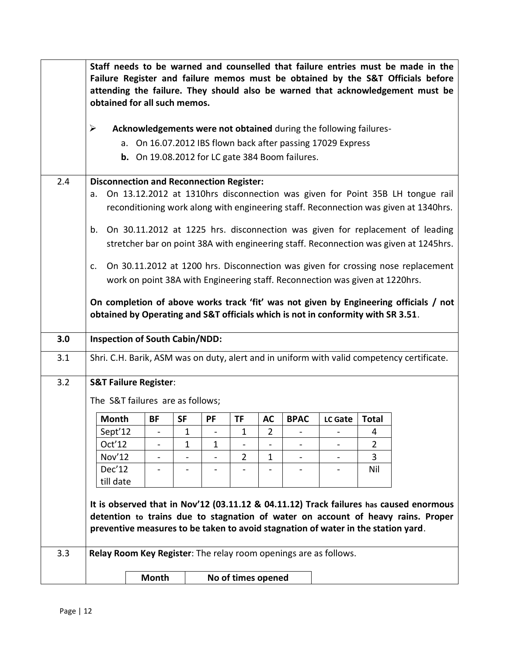|     | Staff needs to be warned and counselled that failure entries must be made in the<br>Failure Register and failure memos must be obtained by the S&T Officials before<br>attending the failure. They should also be warned that acknowledgement must be<br>obtained for all such memos. |           |              |              |                    |              |             |                                                                              |                |                                                                                                                                                                        |
|-----|---------------------------------------------------------------------------------------------------------------------------------------------------------------------------------------------------------------------------------------------------------------------------------------|-----------|--------------|--------------|--------------------|--------------|-------------|------------------------------------------------------------------------------|----------------|------------------------------------------------------------------------------------------------------------------------------------------------------------------------|
|     | ➤<br>Acknowledgements were not obtained during the following failures-                                                                                                                                                                                                                |           |              |              |                    |              |             |                                                                              |                |                                                                                                                                                                        |
|     | a. On 16.07.2012 IBS flown back after passing 17029 Express                                                                                                                                                                                                                           |           |              |              |                    |              |             |                                                                              |                |                                                                                                                                                                        |
|     | <b>b.</b> On 19.08.2012 for LC gate 384 Boom failures.                                                                                                                                                                                                                                |           |              |              |                    |              |             |                                                                              |                |                                                                                                                                                                        |
|     |                                                                                                                                                                                                                                                                                       |           |              |              |                    |              |             |                                                                              |                |                                                                                                                                                                        |
| 2.4 | <b>Disconnection and Reconnection Register:</b><br>On 13.12.2012 at 1310hrs disconnection was given for Point 35B LH tongue rail<br>a.<br>reconditioning work along with engineering staff. Reconnection was given at 1340hrs.                                                        |           |              |              |                    |              |             |                                                                              |                |                                                                                                                                                                        |
|     | b.                                                                                                                                                                                                                                                                                    |           |              |              |                    |              |             |                                                                              |                | On 30.11.2012 at 1225 hrs. disconnection was given for replacement of leading<br>stretcher bar on point 38A with engineering staff. Reconnection was given at 1245hrs. |
|     | C.                                                                                                                                                                                                                                                                                    |           |              |              |                    |              |             | work on point 38A with Engineering staff. Reconnection was given at 1220hrs. |                | On 30.11.2012 at 1200 hrs. Disconnection was given for crossing nose replacement                                                                                       |
|     | obtained by Operating and S&T officials which is not in conformity with SR 3.51.                                                                                                                                                                                                      |           |              |              |                    |              |             |                                                                              |                | On completion of above works track 'fit' was not given by Engineering officials / not                                                                                  |
| 3.0 | <b>Inspection of South Cabin/NDD:</b>                                                                                                                                                                                                                                                 |           |              |              |                    |              |             |                                                                              |                |                                                                                                                                                                        |
| 3.1 |                                                                                                                                                                                                                                                                                       |           |              |              |                    |              |             |                                                                              |                | Shri. C.H. Barik, ASM was on duty, alert and in uniform with valid competency certificate.                                                                             |
| 3.2 | <b>S&amp;T Failure Register:</b>                                                                                                                                                                                                                                                      |           |              |              |                    |              |             |                                                                              |                |                                                                                                                                                                        |
|     | The S&T failures are as follows;                                                                                                                                                                                                                                                      |           |              |              |                    |              |             |                                                                              |                |                                                                                                                                                                        |
|     | <b>Month</b>                                                                                                                                                                                                                                                                          | <b>BF</b> | <b>SF</b>    | PF           | <b>TF</b>          | <b>AC</b>    | <b>BPAC</b> | LC Gate                                                                      | <b>Total</b>   |                                                                                                                                                                        |
|     | Sept'12                                                                                                                                                                                                                                                                               |           | 1            |              | ı                  | 2            |             |                                                                              | 4              |                                                                                                                                                                        |
|     | Oct'12                                                                                                                                                                                                                                                                                |           | $\mathbf{1}$ | $\mathbf{1}$ |                    |              |             |                                                                              | $\overline{2}$ |                                                                                                                                                                        |
|     | Nov'12                                                                                                                                                                                                                                                                                |           |              |              | $\overline{2}$     | $\mathbf{1}$ |             |                                                                              | 3              |                                                                                                                                                                        |
|     | Dec'12                                                                                                                                                                                                                                                                                |           |              |              |                    |              |             |                                                                              | Nil            |                                                                                                                                                                        |
|     | till date                                                                                                                                                                                                                                                                             |           |              |              |                    |              |             |                                                                              |                |                                                                                                                                                                        |
|     |                                                                                                                                                                                                                                                                                       |           |              |              |                    |              |             |                                                                              |                | It is observed that in Nov'12 (03.11.12 & 04.11.12) Track failures has caused enormous                                                                                 |
|     |                                                                                                                                                                                                                                                                                       |           |              |              |                    |              |             |                                                                              |                | detention to trains due to stagnation of water on account of heavy rains. Proper                                                                                       |
|     | preventive measures to be taken to avoid stagnation of water in the station yard.                                                                                                                                                                                                     |           |              |              |                    |              |             |                                                                              |                |                                                                                                                                                                        |
| 3.3 | Relay Room Key Register: The relay room openings are as follows.                                                                                                                                                                                                                      |           |              |              |                    |              |             |                                                                              |                |                                                                                                                                                                        |
|     |                                                                                                                                                                                                                                                                                       | Month     |              |              | No of times opened |              |             |                                                                              |                |                                                                                                                                                                        |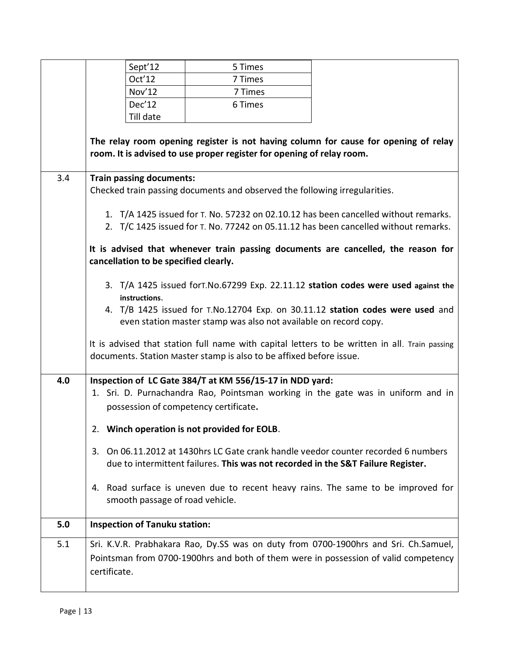|     | Sept'12                               | 5 Times                                                                          |                                                                                                                                                                            |
|-----|---------------------------------------|----------------------------------------------------------------------------------|----------------------------------------------------------------------------------------------------------------------------------------------------------------------------|
|     | Oct'12                                | 7 Times                                                                          |                                                                                                                                                                            |
|     | Nov'12                                | 7 Times                                                                          |                                                                                                                                                                            |
|     | Dec'12                                | 6 Times                                                                          |                                                                                                                                                                            |
|     | Till date                             |                                                                                  |                                                                                                                                                                            |
|     |                                       |                                                                                  |                                                                                                                                                                            |
|     |                                       | room. It is advised to use proper register for opening of relay room.            | The relay room opening register is not having column for cause for opening of relay                                                                                        |
| 3.4 | <b>Train passing documents:</b>       |                                                                                  |                                                                                                                                                                            |
|     |                                       | Checked train passing documents and observed the following irregularities.       |                                                                                                                                                                            |
|     |                                       |                                                                                  | 1. T/A 1425 issued for T. No. 57232 on 02.10.12 has been cancelled without remarks.<br>2. T/C 1425 issued for T. No. 77242 on 05.11.12 has been cancelled without remarks. |
|     | cancellation to be specified clearly. |                                                                                  | It is advised that whenever train passing documents are cancelled, the reason for                                                                                          |
|     | instructions.                         |                                                                                  | 3. T/A 1425 issued forT.No.67299 Exp. 22.11.12 station codes were used against the                                                                                         |
|     |                                       | even station master stamp was also not available on record copy.                 | 4. T/B 1425 issued for T.No.12704 Exp. on 30.11.12 station codes were used and                                                                                             |
|     |                                       | documents. Station Master stamp is also to be affixed before issue.              | It is advised that station full name with capital letters to be written in all. Train passing                                                                              |
| 4.0 | possession of competency certificate. | Inspection of LC Gate 384/T at KM 556/15-17 in NDD yard:                         | 1. Sri. D. Purnachandra Rao, Pointsman working in the gate was in uniform and in                                                                                           |
|     |                                       | 2. Winch operation is not provided for EOLB.                                     |                                                                                                                                                                            |
|     |                                       | due to intermittent failures. This was not recorded in the S&T Failure Register. | 3. On 06.11.2012 at 1430hrs LC Gate crank handle veedor counter recorded 6 numbers                                                                                         |
|     | smooth passage of road vehicle.       |                                                                                  | 4. Road surface is uneven due to recent heavy rains. The same to be improved for                                                                                           |
| 5.0 | <b>Inspection of Tanuku station:</b>  |                                                                                  |                                                                                                                                                                            |
| 5.1 |                                       |                                                                                  | Sri. K.V.R. Prabhakara Rao, Dy.SS was on duty from 0700-1900hrs and Sri. Ch.Samuel,                                                                                        |
|     | certificate.                          |                                                                                  | Pointsman from 0700-1900hrs and both of them were in possession of valid competency                                                                                        |
|     |                                       |                                                                                  |                                                                                                                                                                            |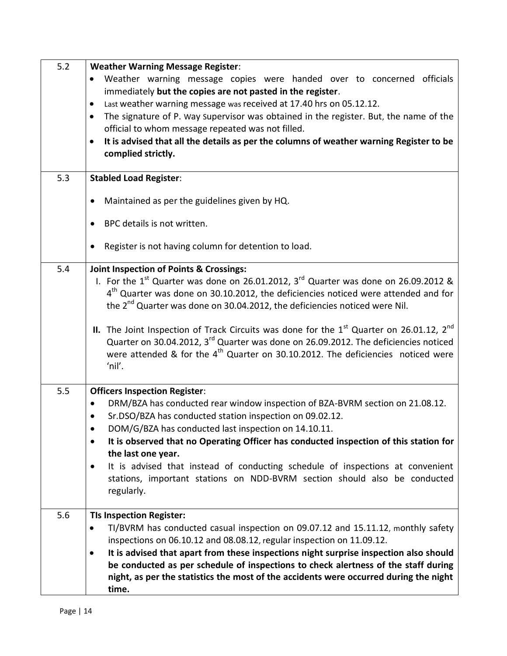| 5.2 | <b>Weather Warning Message Register:</b>                                                                         |  |  |  |  |  |
|-----|------------------------------------------------------------------------------------------------------------------|--|--|--|--|--|
|     | Weather warning message copies were handed over to concerned officials                                           |  |  |  |  |  |
|     | immediately but the copies are not pasted in the register.                                                       |  |  |  |  |  |
|     | Last weather warning message was received at 17.40 hrs on 05.12.12.<br>$\bullet$                                 |  |  |  |  |  |
|     | The signature of P. Way Supervisor was obtained in the register. But, the name of the<br>$\bullet$               |  |  |  |  |  |
|     | official to whom message repeated was not filled.                                                                |  |  |  |  |  |
|     | It is advised that all the details as per the columns of weather warning Register to be<br>$\bullet$             |  |  |  |  |  |
|     | complied strictly.                                                                                               |  |  |  |  |  |
|     |                                                                                                                  |  |  |  |  |  |
| 5.3 | <b>Stabled Load Register:</b>                                                                                    |  |  |  |  |  |
|     |                                                                                                                  |  |  |  |  |  |
|     | Maintained as per the guidelines given by HQ.<br>٠                                                               |  |  |  |  |  |
|     |                                                                                                                  |  |  |  |  |  |
|     | BPC details is not written.<br>$\bullet$                                                                         |  |  |  |  |  |
|     | Register is not having column for detention to load.<br>$\bullet$                                                |  |  |  |  |  |
|     |                                                                                                                  |  |  |  |  |  |
| 5.4 | Joint Inspection of Points & Crossings:                                                                          |  |  |  |  |  |
|     | I. For the $1^{st}$ Quarter was done on 26.01.2012, $3^{rd}$ Quarter was done on 26.09.2012 &                    |  |  |  |  |  |
|     | 4 <sup>th</sup> Quarter was done on 30.10.2012, the deficiencies noticed were attended and for                   |  |  |  |  |  |
|     | the 2 <sup>nd</sup> Quarter was done on 30.04.2012, the deficiencies noticed were Nil.                           |  |  |  |  |  |
|     |                                                                                                                  |  |  |  |  |  |
|     | II. The Joint Inspection of Track Circuits was done for the 1 <sup>st</sup> Quarter on 26.01.12, 2 <sup>nd</sup> |  |  |  |  |  |
|     | Quarter on 30.04.2012, 3 <sup>rd</sup> Quarter was done on 26.09.2012. The deficiencies noticed                  |  |  |  |  |  |
|     | were attended & for the 4 <sup>th</sup> Quarter on 30.10.2012. The deficiencies noticed were                     |  |  |  |  |  |
|     | 'nil'.                                                                                                           |  |  |  |  |  |
|     |                                                                                                                  |  |  |  |  |  |
| 5.5 | <b>Officers Inspection Register:</b>                                                                             |  |  |  |  |  |
|     | DRM/BZA has conducted rear window inspection of BZA-BVRM section on 21.08.12.<br>٠                               |  |  |  |  |  |
|     | Sr.DSO/BZA has conducted station inspection on 09.02.12.<br>$\bullet$                                            |  |  |  |  |  |
|     | DOM/G/BZA has conducted last inspection on 14.10.11.                                                             |  |  |  |  |  |
|     | It is observed that no Operating Officer has conducted inspection of this station for<br>$\bullet$               |  |  |  |  |  |
|     | the last one year.                                                                                               |  |  |  |  |  |
|     | It is advised that instead of conducting schedule of inspections at convenient<br>$\bullet$                      |  |  |  |  |  |
|     | stations, important stations on NDD-BVRM section should also be conducted                                        |  |  |  |  |  |
|     | regularly.                                                                                                       |  |  |  |  |  |
|     |                                                                                                                  |  |  |  |  |  |
| 5.6 | <b>TIs Inspection Register:</b>                                                                                  |  |  |  |  |  |
|     | TI/BVRM has conducted casual inspection on 09.07.12 and 15.11.12, monthly safety<br>$\bullet$                    |  |  |  |  |  |
|     | inspections on 06.10.12 and 08.08.12, regular inspection on 11.09.12.                                            |  |  |  |  |  |
|     | It is advised that apart from these inspections night surprise inspection also should<br>٠                       |  |  |  |  |  |
|     | be conducted as per schedule of inspections to check alertness of the staff during                               |  |  |  |  |  |
|     | night, as per the statistics the most of the accidents were occurred during the night                            |  |  |  |  |  |
|     | time.                                                                                                            |  |  |  |  |  |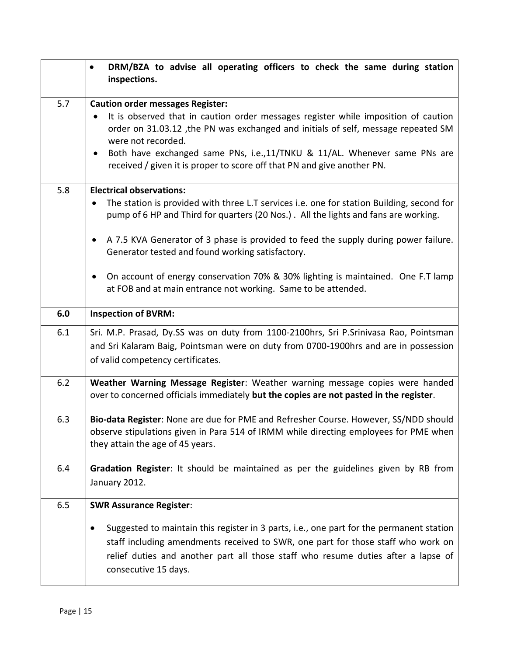|     | DRM/BZA to advise all operating officers to check the same during station<br>$\bullet$                                                                                                                                                                                                                                                                             |  |  |  |
|-----|--------------------------------------------------------------------------------------------------------------------------------------------------------------------------------------------------------------------------------------------------------------------------------------------------------------------------------------------------------------------|--|--|--|
|     | inspections.                                                                                                                                                                                                                                                                                                                                                       |  |  |  |
| 5.7 | <b>Caution order messages Register:</b>                                                                                                                                                                                                                                                                                                                            |  |  |  |
|     | It is observed that in caution order messages register while imposition of caution<br>order on 31.03.12, the PN was exchanged and initials of self, message repeated SM<br>were not recorded.<br>Both have exchanged same PNs, i.e.,11/TNKU & 11/AL. Whenever same PNs are<br>$\bullet$<br>received / given it is proper to score off that PN and give another PN. |  |  |  |
| 5.8 | <b>Electrical observations:</b>                                                                                                                                                                                                                                                                                                                                    |  |  |  |
|     | The station is provided with three L.T services i.e. one for station Building, second for<br>pump of 6 HP and Third for quarters (20 Nos.). All the lights and fans are working.                                                                                                                                                                                   |  |  |  |
|     | A 7.5 KVA Generator of 3 phase is provided to feed the supply during power failure.<br>Generator tested and found working satisfactory.                                                                                                                                                                                                                            |  |  |  |
|     | On account of energy conservation 70% & 30% lighting is maintained. One F.T lamp<br>at FOB and at main entrance not working. Same to be attended.                                                                                                                                                                                                                  |  |  |  |
| 6.0 | <b>Inspection of BVRM:</b>                                                                                                                                                                                                                                                                                                                                         |  |  |  |
| 6.1 | Sri. M.P. Prasad, Dy.SS was on duty from 1100-2100hrs, Sri P.Srinivasa Rao, Pointsman                                                                                                                                                                                                                                                                              |  |  |  |
|     | and Sri Kalaram Baig, Pointsman were on duty from 0700-1900hrs and are in possession<br>of valid competency certificates.                                                                                                                                                                                                                                          |  |  |  |
| 6.2 | Weather Warning Message Register: Weather warning message copies were handed<br>over to concerned officials immediately but the copies are not pasted in the register.                                                                                                                                                                                             |  |  |  |
| 6.3 | Bio-data Register: None are due for PME and Refresher Course. However, SS/NDD should<br>observe stipulations given in Para 514 of IRMM while directing employees for PME when<br>they attain the age of 45 years.                                                                                                                                                  |  |  |  |
| 6.4 | Gradation Register: It should be maintained as per the guidelines given by RB from<br>January 2012.                                                                                                                                                                                                                                                                |  |  |  |
| 6.5 | <b>SWR Assurance Register:</b>                                                                                                                                                                                                                                                                                                                                     |  |  |  |
|     | Suggested to maintain this register in 3 parts, i.e., one part for the permanent station<br>٠<br>staff including amendments received to SWR, one part for those staff who work on<br>relief duties and another part all those staff who resume duties after a lapse of<br>consecutive 15 days.                                                                     |  |  |  |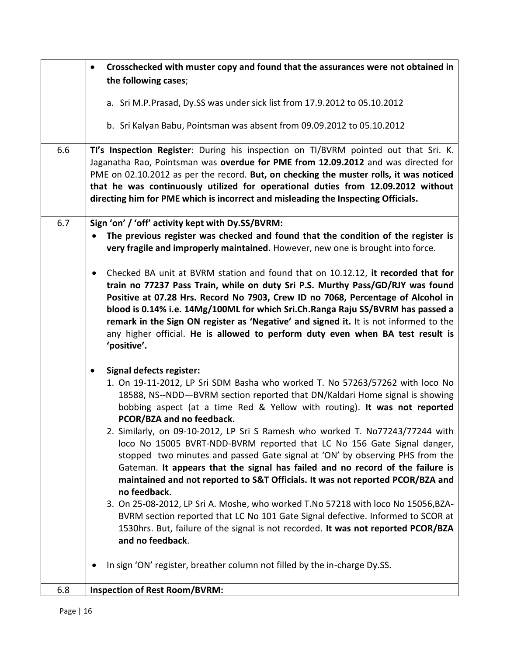|     | Crosschecked with muster copy and found that the assurances were not obtained in<br>$\bullet$                                                                                                                                                                                                                                                                                                                                                                                                                                                                                                                                                                                                                                                                                                                                                                                                                                                                                                                                   |  |  |
|-----|---------------------------------------------------------------------------------------------------------------------------------------------------------------------------------------------------------------------------------------------------------------------------------------------------------------------------------------------------------------------------------------------------------------------------------------------------------------------------------------------------------------------------------------------------------------------------------------------------------------------------------------------------------------------------------------------------------------------------------------------------------------------------------------------------------------------------------------------------------------------------------------------------------------------------------------------------------------------------------------------------------------------------------|--|--|
|     | the following cases;                                                                                                                                                                                                                                                                                                                                                                                                                                                                                                                                                                                                                                                                                                                                                                                                                                                                                                                                                                                                            |  |  |
|     | a. Sri M.P.Prasad, Dy.SS was under sick list from 17.9.2012 to 05.10.2012                                                                                                                                                                                                                                                                                                                                                                                                                                                                                                                                                                                                                                                                                                                                                                                                                                                                                                                                                       |  |  |
|     | b. Sri Kalyan Babu, Pointsman was absent from 09.09.2012 to 05.10.2012                                                                                                                                                                                                                                                                                                                                                                                                                                                                                                                                                                                                                                                                                                                                                                                                                                                                                                                                                          |  |  |
| 6.6 | TI's Inspection Register: During his inspection on TI/BVRM pointed out that Sri. K.<br>Jaganatha Rao, Pointsman was overdue for PME from 12.09.2012 and was directed for<br>PME on 02.10.2012 as per the record. But, on checking the muster rolls, it was noticed<br>that he was continuously utilized for operational duties from 12.09.2012 without<br>directing him for PME which is incorrect and misleading the Inspecting Officials.                                                                                                                                                                                                                                                                                                                                                                                                                                                                                                                                                                                     |  |  |
| 6.7 | Sign 'on' / 'off' activity kept with Dy.SS/BVRM:<br>The previous register was checked and found that the condition of the register is<br>very fragile and improperly maintained. However, new one is brought into force.                                                                                                                                                                                                                                                                                                                                                                                                                                                                                                                                                                                                                                                                                                                                                                                                        |  |  |
|     | Checked BA unit at BVRM station and found that on 10.12.12, it recorded that for<br>train no 77237 Pass Train, while on duty Sri P.S. Murthy Pass/GD/RJY was found<br>Positive at 07.28 Hrs. Record No 7903, Crew ID no 7068, Percentage of Alcohol in<br>blood is 0.14% i.e. 14Mg/100ML for which Sri.Ch.Ranga Raju SS/BVRM has passed a<br>remark in the Sign ON register as 'Negative' and signed it. It is not informed to the<br>any higher official. He is allowed to perform duty even when BA test result is<br>'positive'.                                                                                                                                                                                                                                                                                                                                                                                                                                                                                             |  |  |
|     | Signal defects register:<br>$\bullet$<br>1. On 19-11-2012, LP Sri SDM Basha who worked T. No 57263/57262 with loco No<br>18588, NS--NDD-BVRM section reported that DN/Kaldari Home signal is showing<br>bobbing aspect (at a time Red & Yellow with routing). It was not reported<br>PCOR/BZA and no feedback.<br>2. Similarly, on 09-10-2012, LP Sri S Ramesh who worked T. No77243/77244 with<br>loco No 15005 BVRT-NDD-BVRM reported that LC No 156 Gate Signal danger,<br>stopped two minutes and passed Gate signal at 'ON' by observing PHS from the<br>Gateman. It appears that the signal has failed and no record of the failure is<br>maintained and not reported to S&T Officials. It was not reported PCOR/BZA and<br>no feedback.<br>3. On 25-08-2012, LP Sri A. Moshe, who worked T.No 57218 with loco No 15056, BZA-<br>BVRM section reported that LC No 101 Gate Signal defective. Informed to SCOR at<br>1530hrs. But, failure of the signal is not recorded. It was not reported PCOR/BZA<br>and no feedback. |  |  |
|     | In sign 'ON' register, breather column not filled by the in-charge Dy.SS.                                                                                                                                                                                                                                                                                                                                                                                                                                                                                                                                                                                                                                                                                                                                                                                                                                                                                                                                                       |  |  |
| 6.8 | <b>Inspection of Rest Room/BVRM:</b>                                                                                                                                                                                                                                                                                                                                                                                                                                                                                                                                                                                                                                                                                                                                                                                                                                                                                                                                                                                            |  |  |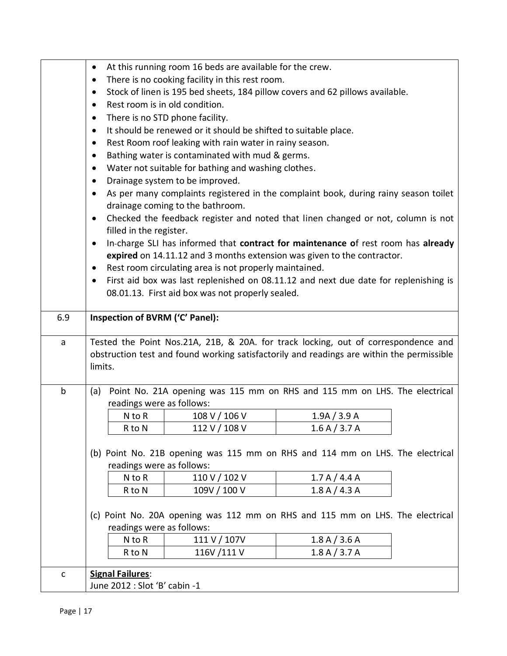|              | $\bullet$                                                                                  | At this running room 16 beds are available for the crew.        |                                                                                           |  |  |
|--------------|--------------------------------------------------------------------------------------------|-----------------------------------------------------------------|-------------------------------------------------------------------------------------------|--|--|
|              | There is no cooking facility in this rest room.                                            |                                                                 |                                                                                           |  |  |
|              | Stock of linen is 195 bed sheets, 184 pillow covers and 62 pillows available.<br>$\bullet$ |                                                                 |                                                                                           |  |  |
|              | Rest room is in old condition.<br>$\bullet$                                                |                                                                 |                                                                                           |  |  |
|              | ٠                                                                                          | There is no STD phone facility.                                 |                                                                                           |  |  |
|              | $\bullet$                                                                                  | It should be renewed or it should be shifted to suitable place. |                                                                                           |  |  |
|              | $\bullet$                                                                                  | Rest Room roof leaking with rain water in rainy season.         |                                                                                           |  |  |
|              | ٠                                                                                          | Bathing water is contaminated with mud & germs.                 |                                                                                           |  |  |
|              | ٠                                                                                          | Water not suitable for bathing and washing clothes.             |                                                                                           |  |  |
|              | ٠                                                                                          | Drainage system to be improved.                                 |                                                                                           |  |  |
|              |                                                                                            |                                                                 | As per many complaints registered in the complaint book, during rainy season toilet       |  |  |
|              |                                                                                            | drainage coming to the bathroom.                                |                                                                                           |  |  |
|              |                                                                                            |                                                                 | Checked the feedback register and noted that linen changed or not, column is not          |  |  |
|              | filled in the register.                                                                    |                                                                 |                                                                                           |  |  |
|              |                                                                                            |                                                                 | In-charge SLI has informed that contract for maintenance of rest room has already         |  |  |
|              |                                                                                            |                                                                 | expired on 14.11.12 and 3 months extension was given to the contractor.                   |  |  |
|              |                                                                                            | Rest room circulating area is not properly maintained.          |                                                                                           |  |  |
|              |                                                                                            |                                                                 | First aid box was last replenished on 08.11.12 and next due date for replenishing is      |  |  |
|              |                                                                                            | 08.01.13. First aid box was not properly sealed.                |                                                                                           |  |  |
|              |                                                                                            |                                                                 |                                                                                           |  |  |
| 6.9          | Inspection of BVRM ('C' Panel):                                                            |                                                                 |                                                                                           |  |  |
| a            | Tested the Point Nos.21A, 21B, & 20A. for track locking, out of correspondence and         |                                                                 |                                                                                           |  |  |
|              |                                                                                            |                                                                 | obstruction test and found working satisfactorily and readings are within the permissible |  |  |
|              | limits.                                                                                    |                                                                 |                                                                                           |  |  |
|              |                                                                                            |                                                                 |                                                                                           |  |  |
| $\mathsf b$  | (a)                                                                                        |                                                                 | Point No. 21A opening was 115 mm on RHS and 115 mm on LHS. The electrical                 |  |  |
|              | readings were as follows:                                                                  |                                                                 |                                                                                           |  |  |
|              | N to R                                                                                     | 108 V / 106 V                                                   | 1.9A / 3.9A                                                                               |  |  |
|              | R to N                                                                                     | 112 V / 108 V                                                   | $1.6$ A $/$ 3.7 A                                                                         |  |  |
|              |                                                                                            |                                                                 |                                                                                           |  |  |
|              |                                                                                            |                                                                 | (b) Point No. 21B opening was 115 mm on RHS and 114 mm on LHS. The electrical             |  |  |
|              | readings were as follows:                                                                  |                                                                 |                                                                                           |  |  |
|              | N to R                                                                                     | 110 V / 102 V                                                   | 1.7 A / 4.4 A                                                                             |  |  |
|              | R to N                                                                                     | 109V / 100 V                                                    | 1.8 A / 4.3 A                                                                             |  |  |
|              |                                                                                            |                                                                 |                                                                                           |  |  |
|              |                                                                                            |                                                                 | (c) Point No. 20A opening was 112 mm on RHS and 115 mm on LHS. The electrical             |  |  |
|              | readings were as follows:                                                                  |                                                                 |                                                                                           |  |  |
|              | N to R                                                                                     | 111 V / 107V                                                    | 1.8 A / 3.6 A                                                                             |  |  |
|              | R to N                                                                                     | 116V /111 V                                                     | 1.8 A / 3.7 A                                                                             |  |  |
| $\mathsf{C}$ | <b>Signal Failures:</b>                                                                    |                                                                 |                                                                                           |  |  |
|              | June 2012 : Slot 'B' cabin -1                                                              |                                                                 |                                                                                           |  |  |
|              |                                                                                            |                                                                 |                                                                                           |  |  |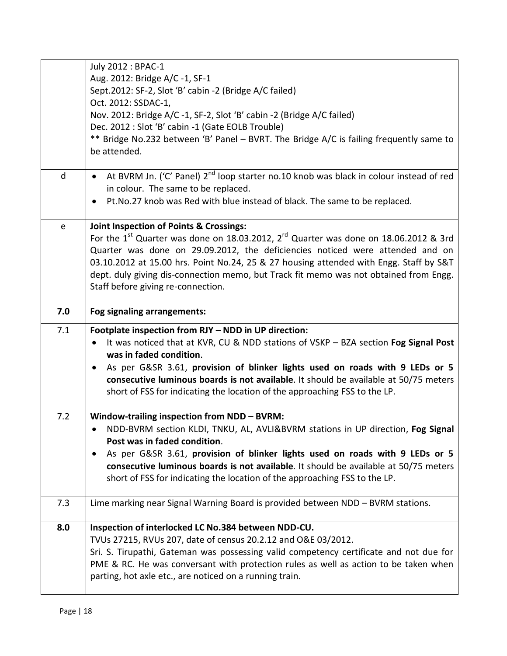|     | July 2012 : BPAC-1<br>Aug. 2012: Bridge A/C -1, SF-1<br>Sept.2012: SF-2, Slot 'B' cabin -2 (Bridge A/C failed)<br>Oct. 2012: SSDAC-1,                                                                                                                                                                                                                                                                                                               |  |  |  |  |
|-----|-----------------------------------------------------------------------------------------------------------------------------------------------------------------------------------------------------------------------------------------------------------------------------------------------------------------------------------------------------------------------------------------------------------------------------------------------------|--|--|--|--|
|     | Nov. 2012: Bridge A/C -1, SF-2, Slot 'B' cabin -2 (Bridge A/C failed)<br>Dec. 2012 : Slot 'B' cabin -1 (Gate EOLB Trouble)                                                                                                                                                                                                                                                                                                                          |  |  |  |  |
|     | ** Bridge No.232 between 'B' Panel - BVRT. The Bridge A/C is failing frequently same to<br>be attended.                                                                                                                                                                                                                                                                                                                                             |  |  |  |  |
| d   | At BVRM Jn. ('C' Panel) 2 <sup>nd</sup> loop starter no.10 knob was black in colour instead of red<br>in colour. The same to be replaced.                                                                                                                                                                                                                                                                                                           |  |  |  |  |
|     | Pt.No.27 knob was Red with blue instead of black. The same to be replaced.                                                                                                                                                                                                                                                                                                                                                                          |  |  |  |  |
| e   | Joint Inspection of Points & Crossings:<br>For the $1^{st}$ Quarter was done on 18.03.2012, $2^{rd}$ Quarter was done on 18.06.2012 & 3rd<br>Quarter was done on 29.09.2012, the deficiencies noticed were attended and on<br>03.10.2012 at 15.00 hrs. Point No.24, 25 & 27 housing attended with Engg. Staff by S&T<br>dept. duly giving dis-connection memo, but Track fit memo was not obtained from Engg.<br>Staff before giving re-connection. |  |  |  |  |
| 7.0 | Fog signaling arrangements:                                                                                                                                                                                                                                                                                                                                                                                                                         |  |  |  |  |
| 7.1 | Footplate inspection from RJY - NDD in UP direction:<br>It was noticed that at KVR, CU & NDD stations of VSKP - BZA section Fog Signal Post<br>was in faded condition.<br>As per G&SR 3.61, provision of blinker lights used on roads with 9 LEDs or 5<br>$\bullet$<br>consecutive luminous boards is not available. It should be available at 50/75 meters                                                                                         |  |  |  |  |
|     | short of FSS for indicating the location of the approaching FSS to the LP.                                                                                                                                                                                                                                                                                                                                                                          |  |  |  |  |
| 7.2 | Window-trailing inspection from NDD - BVRM:<br>NDD-BVRM section KLDI, TNKU, AL, AVLI&BVRM stations in UP direction, Fog Signal<br>Post was in faded condition.                                                                                                                                                                                                                                                                                      |  |  |  |  |
|     | As per G&SR 3.61, provision of blinker lights used on roads with 9 LEDs or 5<br>consecutive luminous boards is not available. It should be available at 50/75 meters<br>short of FSS for indicating the location of the approaching FSS to the LP.                                                                                                                                                                                                  |  |  |  |  |
| 7.3 | Lime marking near Signal Warning Board is provided between NDD - BVRM stations.                                                                                                                                                                                                                                                                                                                                                                     |  |  |  |  |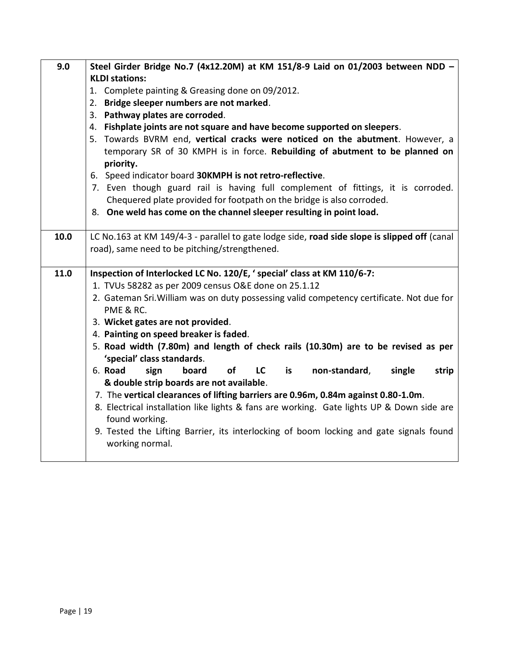| 9.0  | Steel Girder Bridge No.7 (4x12.20M) at KM 151/8-9 Laid on 01/2003 between NDD -              |  |  |  |  |
|------|----------------------------------------------------------------------------------------------|--|--|--|--|
|      | <b>KLDI stations:</b>                                                                        |  |  |  |  |
|      | 1. Complete painting & Greasing done on 09/2012.                                             |  |  |  |  |
|      | 2. Bridge sleeper numbers are not marked.                                                    |  |  |  |  |
|      | 3. Pathway plates are corroded.                                                              |  |  |  |  |
|      | 4. Fishplate joints are not square and have become supported on sleepers.                    |  |  |  |  |
|      | 5. Towards BVRM end, vertical cracks were noticed on the abutment. However, a                |  |  |  |  |
|      | temporary SR of 30 KMPH is in force. Rebuilding of abutment to be planned on                 |  |  |  |  |
|      | priority.                                                                                    |  |  |  |  |
|      | 6. Speed indicator board 30KMPH is not retro-reflective.                                     |  |  |  |  |
|      | 7. Even though guard rail is having full complement of fittings, it is corroded.             |  |  |  |  |
|      | Chequered plate provided for footpath on the bridge is also corroded.                        |  |  |  |  |
|      | 8. One weld has come on the channel sleeper resulting in point load.                         |  |  |  |  |
|      |                                                                                              |  |  |  |  |
| 10.0 | LC No.163 at KM 149/4-3 - parallel to gate lodge side, road side slope is slipped off (canal |  |  |  |  |
|      | road), same need to be pitching/strengthened.                                                |  |  |  |  |
| 11.0 | Inspection of Interlocked LC No. 120/E, ' special' class at KM 110/6-7:                      |  |  |  |  |
|      | 1. TVUs 58282 as per 2009 census O&E done on 25.1.12                                         |  |  |  |  |
|      | 2. Gateman Sri. William was on duty possessing valid competency certificate. Not due for     |  |  |  |  |
|      | PME & RC.                                                                                    |  |  |  |  |
|      | 3. Wicket gates are not provided.                                                            |  |  |  |  |
|      | 4. Painting on speed breaker is faded.                                                       |  |  |  |  |
|      | 5. Road width (7.80m) and length of check rails (10.30m) are to be revised as per            |  |  |  |  |
|      | 'special' class standards.                                                                   |  |  |  |  |
|      | 6. Road<br>sign<br>board<br>of<br>LC<br>is<br>non-standard,<br>single<br>strip               |  |  |  |  |
|      | & double strip boards are not available.                                                     |  |  |  |  |
|      | 7. The vertical clearances of lifting barriers are 0.96m, 0.84m against 0.80-1.0m.           |  |  |  |  |
|      | 8. Electrical installation like lights & fans are working. Gate lights UP & Down side are    |  |  |  |  |
|      | found working.                                                                               |  |  |  |  |
|      | 9. Tested the Lifting Barrier, its interlocking of boom locking and gate signals found       |  |  |  |  |
|      | working normal.                                                                              |  |  |  |  |
|      |                                                                                              |  |  |  |  |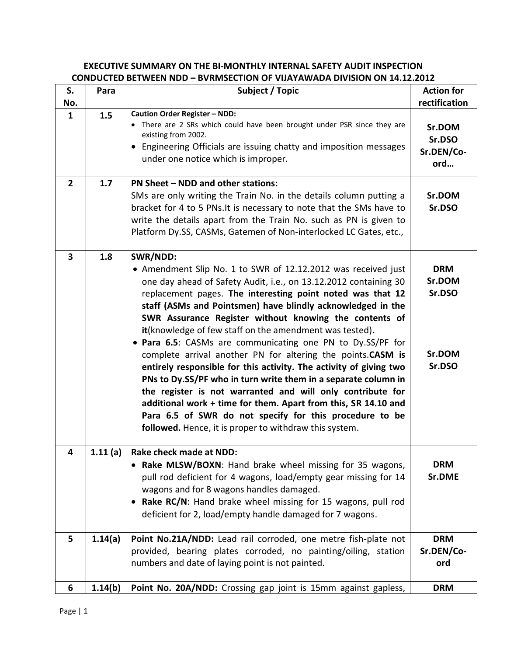#### **EXECUTIVE SUMMARY ON THE BI-MONTHLY INTERNAL SAFETY AUDIT INSPECTION CONDUCTED BETWEEN NDD – BVRMSECTION OF VIJAYAWADA DIVISION ON 14.12.2012**

| S.             | Para    | Subject / Topic                                                                                                                                                                                                                                                                                                                                                                                                                                                                                                                                                                                                                                                                                                                                                                                                                                                                                                           | <b>Action for</b>                                  |
|----------------|---------|---------------------------------------------------------------------------------------------------------------------------------------------------------------------------------------------------------------------------------------------------------------------------------------------------------------------------------------------------------------------------------------------------------------------------------------------------------------------------------------------------------------------------------------------------------------------------------------------------------------------------------------------------------------------------------------------------------------------------------------------------------------------------------------------------------------------------------------------------------------------------------------------------------------------------|----------------------------------------------------|
| No.            |         |                                                                                                                                                                                                                                                                                                                                                                                                                                                                                                                                                                                                                                                                                                                                                                                                                                                                                                                           | rectification                                      |
| $\mathbf{1}$   | 1.5     | <b>Caution Order Register - NDD:</b><br>• There are 2 SRs which could have been brought under PSR since they are<br>existing from 2002.<br>• Engineering Officials are issuing chatty and imposition messages<br>under one notice which is improper.                                                                                                                                                                                                                                                                                                                                                                                                                                                                                                                                                                                                                                                                      | Sr.DOM<br>Sr.DSO<br>Sr.DEN/Co-<br>ord              |
| $\overline{2}$ | 1.7     | PN Sheet - NDD and other stations:<br>SMs are only writing the Train No. in the details column putting a<br>bracket for 4 to 5 PNs. It is necessary to note that the SMs have to<br>write the details apart from the Train No. such as PN is given to<br>Platform Dy.SS, CASMs, Gatemen of Non-interlocked LC Gates, etc.,                                                                                                                                                                                                                                                                                                                                                                                                                                                                                                                                                                                                | Sr.DOM<br>Sr.DSO                                   |
| 3              | 1.8     | SWR/NDD:<br>• Amendment Slip No. 1 to SWR of 12.12.2012 was received just<br>one day ahead of Safety Audit, i.e., on 13.12.2012 containing 30<br>replacement pages. The interesting point noted was that 12<br>staff (ASMs and Pointsmen) have blindly acknowledged in the<br>SWR Assurance Register without knowing the contents of<br>it(knowledge of few staff on the amendment was tested).<br>• Para 6.5: CASMs are communicating one PN to Dy.SS/PF for<br>complete arrival another PN for altering the points.CASM is<br>entirely responsible for this activity. The activity of giving two<br>PNs to Dy.SS/PF who in turn write them in a separate column in<br>the register is not warranted and will only contribute for<br>additional work + time for them. Apart from this, SR 14.10 and<br>Para 6.5 of SWR do not specify for this procedure to be<br>followed. Hence, it is proper to withdraw this system. | <b>DRM</b><br>Sr.DOM<br>Sr.DSO<br>Sr.DOM<br>Sr.DSO |
|                | 1.11(a) | Rake check made at NDD:<br>• Rake MLSW/BOXN: Hand brake wheel missing for 35 wagons,<br>pull rod deficient for 4 wagons, load/empty gear missing for 14<br>wagons and for 8 wagons handles damaged.<br>• Rake RC/N: Hand brake wheel missing for 15 wagons, pull rod<br>deficient for 2, load/empty handle damaged for 7 wagons.                                                                                                                                                                                                                                                                                                                                                                                                                                                                                                                                                                                          | <b>DRM</b><br>Sr.DME                               |
| 5              | 1.14(a) | Point No.21A/NDD: Lead rail corroded, one metre fish-plate not<br>provided, bearing plates corroded, no painting/oiling, station<br>numbers and date of laying point is not painted.                                                                                                                                                                                                                                                                                                                                                                                                                                                                                                                                                                                                                                                                                                                                      | <b>DRM</b><br>Sr.DEN/Co-<br>ord                    |
| 6              | 1.14(b) | Point No. 20A/NDD: Crossing gap joint is 15mm against gapless,                                                                                                                                                                                                                                                                                                                                                                                                                                                                                                                                                                                                                                                                                                                                                                                                                                                            | <b>DRM</b>                                         |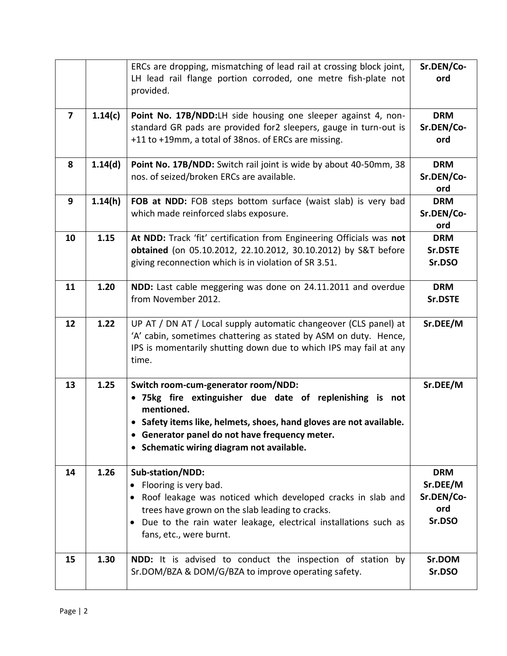|                         |         | ERCs are dropping, mismatching of lead rail at crossing block joint,                                              | Sr.DEN/Co-     |
|-------------------------|---------|-------------------------------------------------------------------------------------------------------------------|----------------|
|                         |         | LH lead rail flange portion corroded, one metre fish-plate not                                                    | ord            |
|                         |         | provided.                                                                                                         |                |
|                         |         |                                                                                                                   |                |
| $\overline{\mathbf{z}}$ | 1.14(c) | Point No. 17B/NDD:LH side housing one sleeper against 4, non-                                                     | <b>DRM</b>     |
|                         |         | standard GR pads are provided for2 sleepers, gauge in turn-out is                                                 | Sr.DEN/Co-     |
|                         |         | +11 to +19mm, a total of 38nos. of ERCs are missing.                                                              | ord            |
|                         |         |                                                                                                                   |                |
| 8                       | 1.14(d) | Point No. 17B/NDD: Switch rail joint is wide by about 40-50mm, 38                                                 | <b>DRM</b>     |
|                         |         | nos. of seized/broken ERCs are available.                                                                         | Sr.DEN/Co-     |
|                         |         |                                                                                                                   | ord            |
| 9                       | 1.14(h) | FOB at NDD: FOB steps bottom surface (waist slab) is very bad                                                     | <b>DRM</b>     |
|                         |         | which made reinforced slabs exposure.                                                                             | Sr.DEN/Co-     |
|                         |         |                                                                                                                   | ord            |
| 10                      | 1.15    | At NDD: Track 'fit' certification from Engineering Officials was not                                              | <b>DRM</b>     |
|                         |         | obtained (on 05.10.2012, 22.10.2012, 30.10.2012) by S&T before                                                    | <b>Sr.DSTE</b> |
|                         |         | giving reconnection which is in violation of SR 3.51.                                                             | Sr.DSO         |
|                         |         |                                                                                                                   |                |
| 11                      | 1.20    | NDD: Last cable meggering was done on 24.11.2011 and overdue                                                      | <b>DRM</b>     |
|                         |         | from November 2012.                                                                                               | <b>Sr.DSTE</b> |
|                         |         |                                                                                                                   |                |
| 12                      | 1.22    | UP AT / DN AT / Local supply automatic changeover (CLS panel) at                                                  | Sr.DEE/M       |
|                         |         | 'A' cabin, sometimes chattering as stated by ASM on duty. Hence,                                                  |                |
|                         |         | IPS is momentarily shutting down due to which IPS may fail at any                                                 |                |
|                         |         | time.                                                                                                             |                |
|                         |         |                                                                                                                   |                |
| 13                      | 1.25    | Switch room-cum-generator room/NDD:                                                                               | Sr.DEE/M       |
|                         |         | • 75kg fire extinguisher due date of replenishing is not                                                          |                |
|                         |         | mentioned.                                                                                                        |                |
|                         |         | Safety items like, helmets, shoes, hand gloves are not available.                                                 |                |
|                         |         | • Generator panel do not have frequency meter.                                                                    |                |
|                         |         | • Schematic wiring diagram not available.                                                                         |                |
|                         |         |                                                                                                                   |                |
| 14                      | 1.26    | Sub-station/NDD:                                                                                                  | <b>DRM</b>     |
|                         |         | Flooring is very bad.<br>٠                                                                                        | Sr.DEE/M       |
|                         |         | Roof leakage was noticed which developed cracks in slab and<br>٠                                                  | Sr.DEN/Co-     |
|                         |         | trees have grown on the slab leading to cracks.                                                                   | ord            |
|                         |         |                                                                                                                   | Sr.DSO         |
|                         |         | • Due to the rain water leakage, electrical installations such as                                                 |                |
|                         |         | fans, etc., were burnt.                                                                                           |                |
| 15                      | 1.30    |                                                                                                                   | Sr.DOM         |
|                         |         | NDD: It is advised to conduct the inspection of station by<br>Sr.DOM/BZA & DOM/G/BZA to improve operating safety. | Sr.DSO         |
|                         |         |                                                                                                                   |                |
|                         |         |                                                                                                                   |                |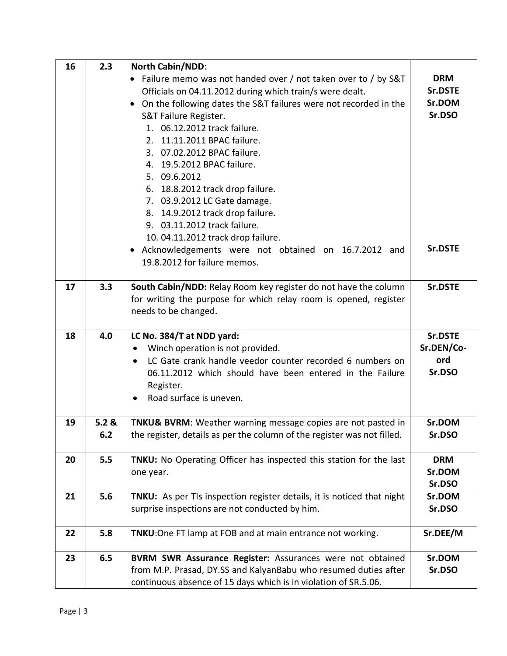| 16 | 2.3          | <b>North Cabin/NDD:</b>                                                                                                                                                                                                                                                                                                                                                                                                                                                                                                                               |                                                  |
|----|--------------|-------------------------------------------------------------------------------------------------------------------------------------------------------------------------------------------------------------------------------------------------------------------------------------------------------------------------------------------------------------------------------------------------------------------------------------------------------------------------------------------------------------------------------------------------------|--------------------------------------------------|
|    |              | • Failure memo was not handed over / not taken over to / by S&T<br>Officials on 04.11.2012 during which train/s were dealt.<br>On the following dates the S&T failures were not recorded in the<br>S&T Failure Register.<br>1. 06.12.2012 track failure.<br>11.11.2011 BPAC failure.<br>2.<br>3. 07.02.2012 BPAC failure.<br>4. 19.5.2012 BPAC failure.<br>5. 09.6.2012<br>6. 18.8.2012 track drop failure.<br>7. 03.9.2012 LC Gate damage.<br>8. 14.9.2012 track drop failure.<br>9. 03.11.2012 track failure.<br>10. 04.11.2012 track drop failure. | <b>DRM</b><br><b>Sr.DSTE</b><br>Sr.DOM<br>Sr.DSO |
|    |              | • Acknowledgements were not obtained on 16.7.2012 and<br>19.8.2012 for failure memos.                                                                                                                                                                                                                                                                                                                                                                                                                                                                 | <b>Sr.DSTE</b>                                   |
| 17 | 3.3          | South Cabin/NDD: Relay Room key register do not have the column<br>for writing the purpose for which relay room is opened, register<br>needs to be changed.                                                                                                                                                                                                                                                                                                                                                                                           | Sr.DSTE                                          |
| 18 | 4.0          | LC No. 384/T at NDD yard:<br>Winch operation is not provided.<br>LC Gate crank handle veedor counter recorded 6 numbers on<br>$\bullet$<br>06.11.2012 which should have been entered in the Failure<br>Register.<br>Road surface is uneven.                                                                                                                                                                                                                                                                                                           | Sr.DSTE<br>Sr.DEN/Co-<br>ord<br>Sr.DSO           |
| 19 | 5.2 &<br>6.2 | TNKU& BVRM: Weather warning message copies are not pasted in<br>the register, details as per the column of the register was not filled.                                                                                                                                                                                                                                                                                                                                                                                                               | Sr.DOM<br>Sr.DSO                                 |
| 20 | 5.5          | TNKU: No Operating Officer has inspected this station for the last<br>one year.                                                                                                                                                                                                                                                                                                                                                                                                                                                                       | <b>DRM</b><br>Sr.DOM<br>Sr.DSO                   |
| 21 | 5.6          | TNKU: As per TIs inspection register details, it is noticed that night<br>surprise inspections are not conducted by him.                                                                                                                                                                                                                                                                                                                                                                                                                              | Sr.DOM<br>Sr.DSO                                 |
| 22 | 5.8          | TNKU: One FT lamp at FOB and at main entrance not working.                                                                                                                                                                                                                                                                                                                                                                                                                                                                                            | Sr.DEE/M                                         |
| 23 | 6.5          | BVRM SWR Assurance Register: Assurances were not obtained<br>from M.P. Prasad, DY.SS and KalyanBabu who resumed duties after<br>continuous absence of 15 days which is in violation of SR.5.06.                                                                                                                                                                                                                                                                                                                                                       | Sr.DOM<br>Sr.DSO                                 |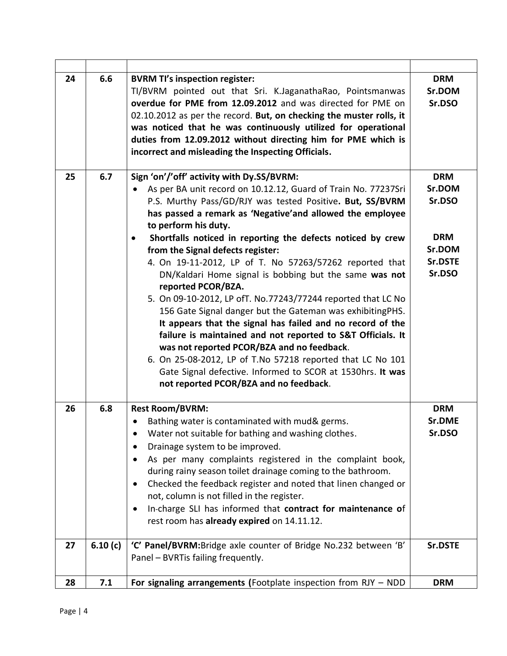| 24 | 6.6     | <b>BVRM TI's inspection register:</b><br>TI/BVRM pointed out that Sri. K.JaganathaRao, Pointsmanwas<br>overdue for PME from 12.09.2012 and was directed for PME on<br>02.10.2012 as per the record. But, on checking the muster rolls, it<br>was noticed that he was continuously utilized for operational<br>duties from 12.09.2012 without directing him for PME which is<br>incorrect and misleading the Inspecting Officials.                                                                                                                                                                                                                                                                                                                                                                                                                                                                                                                                                                | <b>DRM</b><br>Sr.DOM<br>Sr.DSO                                                     |
|----|---------|--------------------------------------------------------------------------------------------------------------------------------------------------------------------------------------------------------------------------------------------------------------------------------------------------------------------------------------------------------------------------------------------------------------------------------------------------------------------------------------------------------------------------------------------------------------------------------------------------------------------------------------------------------------------------------------------------------------------------------------------------------------------------------------------------------------------------------------------------------------------------------------------------------------------------------------------------------------------------------------------------|------------------------------------------------------------------------------------|
| 25 | 6.7     | Sign 'on'/'off' activity with Dy.SS/BVRM:<br>As per BA unit record on 10.12.12, Guard of Train No. 77237Sri<br>P.S. Murthy Pass/GD/RJY was tested Positive. But, SS/BVRM<br>has passed a remark as 'Negative' and allowed the employee<br>to perform his duty.<br>Shortfalls noticed in reporting the defects noticed by crew<br>٠<br>from the Signal defects register:<br>4. On 19-11-2012, LP of T. No 57263/57262 reported that<br>DN/Kaldari Home signal is bobbing but the same was not<br>reported PCOR/BZA.<br>5. On 09-10-2012, LP ofT. No.77243/77244 reported that LC No<br>156 Gate Signal danger but the Gateman was exhibitingPHS.<br>It appears that the signal has failed and no record of the<br>failure is maintained and not reported to S&T Officials. It<br>was not reported PCOR/BZA and no feedback.<br>6. On 25-08-2012, LP of T.No 57218 reported that LC No 101<br>Gate Signal defective. Informed to SCOR at 1530hrs. It was<br>not reported PCOR/BZA and no feedback. | <b>DRM</b><br>Sr.DOM<br>Sr.DSO<br><b>DRM</b><br>Sr.DOM<br><b>Sr.DSTE</b><br>Sr.DSO |
| 26 | 6.8     | <b>Rest Room/BVRM:</b><br>Bathing water is contaminated with mud& germs.<br>Water not suitable for bathing and washing clothes.<br>Drainage system to be improved.<br>As per many complaints registered in the complaint book,<br>during rainy season toilet drainage coming to the bathroom.<br>Checked the feedback register and noted that linen changed or<br>$\bullet$<br>not, column is not filled in the register.<br>In-charge SLI has informed that contract for maintenance of<br>٠<br>rest room has already expired on 14.11.12.                                                                                                                                                                                                                                                                                                                                                                                                                                                      | <b>DRM</b><br><b>Sr.DME</b><br>Sr.DSO                                              |
| 27 | 6.10(c) | 'C' Panel/BVRM: Bridge axle counter of Bridge No.232 between 'B'<br>Panel - BVRTis failing frequently.                                                                                                                                                                                                                                                                                                                                                                                                                                                                                                                                                                                                                                                                                                                                                                                                                                                                                           | <b>Sr.DSTE</b>                                                                     |
| 28 | 7.1     | For signaling arrangements (Footplate inspection from RJY $-$ NDD                                                                                                                                                                                                                                                                                                                                                                                                                                                                                                                                                                                                                                                                                                                                                                                                                                                                                                                                | <b>DRM</b>                                                                         |